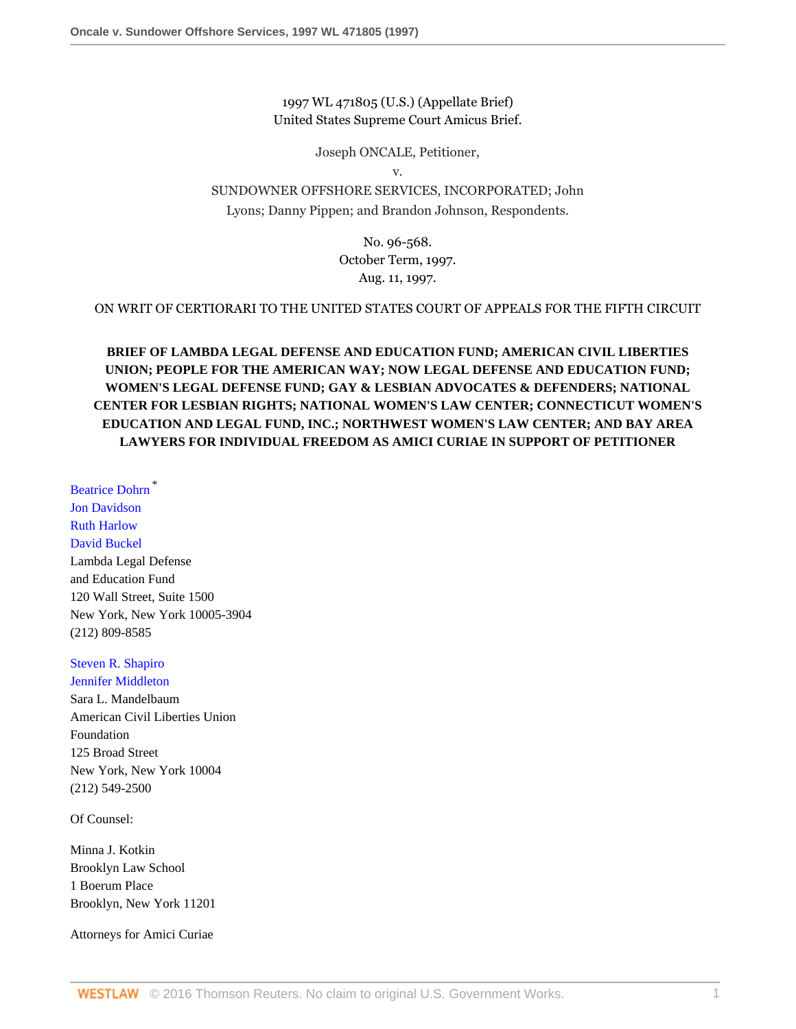1997 WL 471805 (U.S.) (Appellate Brief) United States Supreme Court Amicus Brief.

Joseph ONCALE, Petitioner,

v.

SUNDOWNER OFFSHORE SERVICES, INCORPORATED; John Lyons; Danny Pippen; and Brandon Johnson, Respondents.

> No. 96-568. October Term, 1997. Aug. 11, 1997.

ON WRIT OF CERTIORARI TO THE UNITED STATES COURT OF APPEALS FOR THE FIFTH CIRCUIT

**BRIEF OF LAMBDA LEGAL DEFENSE AND EDUCATION FUND; AMERICAN CIVIL LIBERTIES UNION; PEOPLE FOR THE AMERICAN WAY; NOW LEGAL DEFENSE AND EDUCATION FUND; WOMEN'S LEGAL DEFENSE FUND; GAY & LESBIAN ADVOCATES & DEFENDERS; NATIONAL CENTER FOR LESBIAN RIGHTS; NATIONAL WOMEN'S LAW CENTER; CONNECTICUT WOMEN'S EDUCATION AND LEGAL FUND, INC.; NORTHWEST WOMEN'S LAW CENTER; AND BAY AREA LAWYERS FOR INDIVIDUAL FREEDOM AS AMICI CURIAE IN SUPPORT OF PETITIONER**

[Beatrice Dohrn](http://www.westlaw.com/Link/Document/FullText?findType=h&pubNum=176284&cite=0218077801&originatingDoc=I1e63f32447c011d98915dbcd77ee80bc&refType=RQ&originationContext=document&vr=3.0&rs=cblt1.0&transitionType=DocumentItem&contextData=(sc.RelatedInfo)) \* [Jon Davidson](http://www.westlaw.com/Link/Document/FullText?findType=h&pubNum=176284&cite=0254379601&originatingDoc=I1e63f32447c011d98915dbcd77ee80bc&refType=RQ&originationContext=document&vr=3.0&rs=cblt1.0&transitionType=DocumentItem&contextData=(sc.RelatedInfo)) [Ruth Harlow](http://www.westlaw.com/Link/Document/FullText?findType=h&pubNum=176284&cite=0148610701&originatingDoc=I1e63f32447c011d98915dbcd77ee80bc&refType=RQ&originationContext=document&vr=3.0&rs=cblt1.0&transitionType=DocumentItem&contextData=(sc.RelatedInfo)) [David Buckel](http://www.westlaw.com/Link/Document/FullText?findType=h&pubNum=176284&cite=0142125401&originatingDoc=I1e63f32447c011d98915dbcd77ee80bc&refType=RQ&originationContext=document&vr=3.0&rs=cblt1.0&transitionType=DocumentItem&contextData=(sc.RelatedInfo)) Lambda Legal Defense and Education Fund 120 Wall Street, Suite 1500 New York, New York 10005-3904 (212) 809-8585

## [Steven R. Shapiro](http://www.westlaw.com/Link/Document/FullText?findType=h&pubNum=176284&cite=0151200201&originatingDoc=I1e63f32447c011d98915dbcd77ee80bc&refType=RQ&originationContext=document&vr=3.0&rs=cblt1.0&transitionType=DocumentItem&contextData=(sc.RelatedInfo))

[Jennifer Middleton](http://www.westlaw.com/Link/Document/FullText?findType=h&pubNum=176284&cite=0344144201&originatingDoc=I1e63f32447c011d98915dbcd77ee80bc&refType=RQ&originationContext=document&vr=3.0&rs=cblt1.0&transitionType=DocumentItem&contextData=(sc.RelatedInfo)) Sara L. Mandelbaum American Civil Liberties Union Foundation 125 Broad Street New York, New York 10004 (212) 549-2500

Of Counsel:

Minna J. Kotkin Brooklyn Law School 1 Boerum Place Brooklyn, New York 11201

Attorneys for Amici Curiae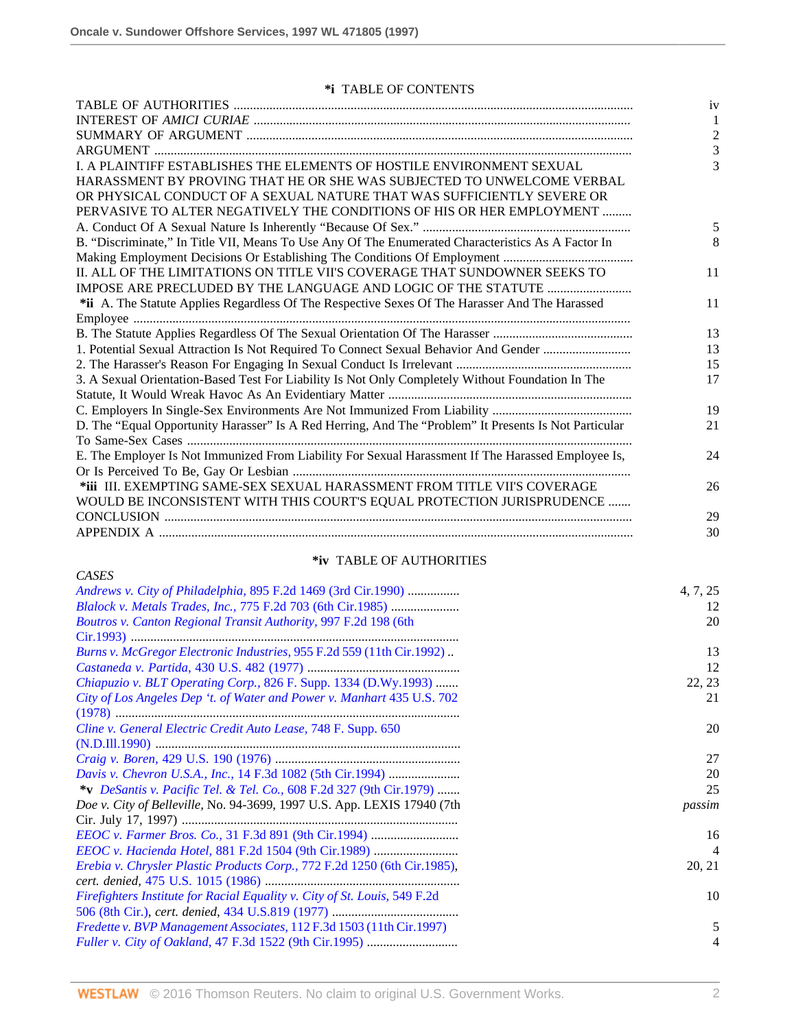*CASES*

# **\*i** TABLE OF CONTENTS

|                                                                                                       | iv             |
|-------------------------------------------------------------------------------------------------------|----------------|
|                                                                                                       |                |
|                                                                                                       | $\overline{2}$ |
|                                                                                                       | 3              |
| L A PLAINTIFF ESTABLISHES THE ELEMENTS OF HOSTILE ENVIRONMENT SEXUAL                                  | 3              |
| HARASSMENT BY PROVING THAT HE OR SHE WAS SUBJECTED TO UNWELCOME VERBAL                                |                |
| OR PHYSICAL CONDUCT OF A SEXUAL NATURE THAT WAS SUFFICIENTLY SEVERE OR                                |                |
| PERVASIVE TO ALTER NEGATIVELY THE CONDITIONS OF HIS OR HER EMPLOYMENT                                 |                |
|                                                                                                       | 5              |
| B. "Discriminate," In Title VII, Means To Use Any Of The Enumerated Characteristics As A Factor In    | 8              |
|                                                                                                       |                |
| II. ALL OF THE LIMITATIONS ON TITLE VII'S COVERAGE THAT SUNDOWNER SEEKS TO                            | 11             |
|                                                                                                       |                |
| *ii A. The Statute Applies Regardless Of The Respective Sexes Of The Harasser And The Harassed        | 11             |
|                                                                                                       |                |
|                                                                                                       | 13             |
| 1. Potential Sexual Attraction Is Not Required To Connect Sexual Behavior And Gender                  | 13             |
|                                                                                                       | 15             |
| 3. A Sexual Orientation-Based Test For Liability Is Not Only Completely Without Foundation In The     | 17             |
|                                                                                                       |                |
|                                                                                                       | 19             |
| D. The "Equal Opportunity Harasser" Is A Red Herring, And The "Problem" It Presents Is Not Particular | 21             |
|                                                                                                       |                |
| E. The Employer Is Not Immunized From Liability For Sexual Harassment If The Harassed Employee Is,    | 24             |
|                                                                                                       |                |
| *iii III. EXEMPTING SAME-SEX SEXUAL HARASSMENT FROM TITLE VII'S COVERAGE                              | 26             |
| WOULD BE INCONSISTENT WITH THIS COURT'S EQUAL PROTECTION JURISPRUDENCE                                |                |
|                                                                                                       | 29             |
|                                                                                                       | 30             |

# **\*iv** TABLE OF AUTHORITIES

| <i>Andrews v. City of Philadelphia, 895 F.2d 1469 (3rd Cir.1990) </i>     | 4, 7, 25 |
|---------------------------------------------------------------------------|----------|
| Blalock v. Metals Trades, Inc., 775 F.2d 703 (6th Cir.1985)               | 12       |
| Boutros v. Canton Regional Transit Authority, 997 F.2d 198 (6th           | 20       |
|                                                                           |          |
| Burns v. McGregor Electronic Industries, 955 F.2d 559 (11th Cir.1992).    | 13       |
|                                                                           | 12       |
| Chiapuzio v. BLT Operating Corp., 826 F. Supp. 1334 (D.Wy.1993)           | 22, 23   |
| City of Los Angeles Dep 't. of Water and Power v. Manhart 435 U.S. 702    | 21       |
|                                                                           |          |
| Cline v. General Electric Credit Auto Lease, 748 F. Supp. 650             | 20       |
|                                                                           |          |
|                                                                           | 27       |
| Davis v. Chevron U.S.A., Inc., 14 F.3d 1082 (5th Cir.1994)                | 20       |
| *v DeSantis v. Pacific Tel. & Tel. Co., 608 F.2d 327 (9th Cir.1979)       | 25       |
| Doe v. City of Belleville, No. 94-3699, 1997 U.S. App. LEXIS 17940 (7th   | passim   |
|                                                                           |          |
|                                                                           | 16       |
| EEOC v. Hacienda Hotel, 881 F.2d 1504 (9th Cir.1989)                      | 4        |
| Erebia v. Chrysler Plastic Products Corp., 772 F.2d 1250 (6th Cir.1985),  | 20, 21   |
|                                                                           |          |
| Firefighters Institute for Racial Equality v. City of St. Louis, 549 F.2d | 10       |
|                                                                           |          |
| Fredette v. BVP Management Associates, 112 F.3d 1503 (11th Cir.1997)      | 5        |
| <i>Fuller v. City of Oakland, 47 F.3d 1522 (9th Cir.1995) </i>            | 4        |
|                                                                           |          |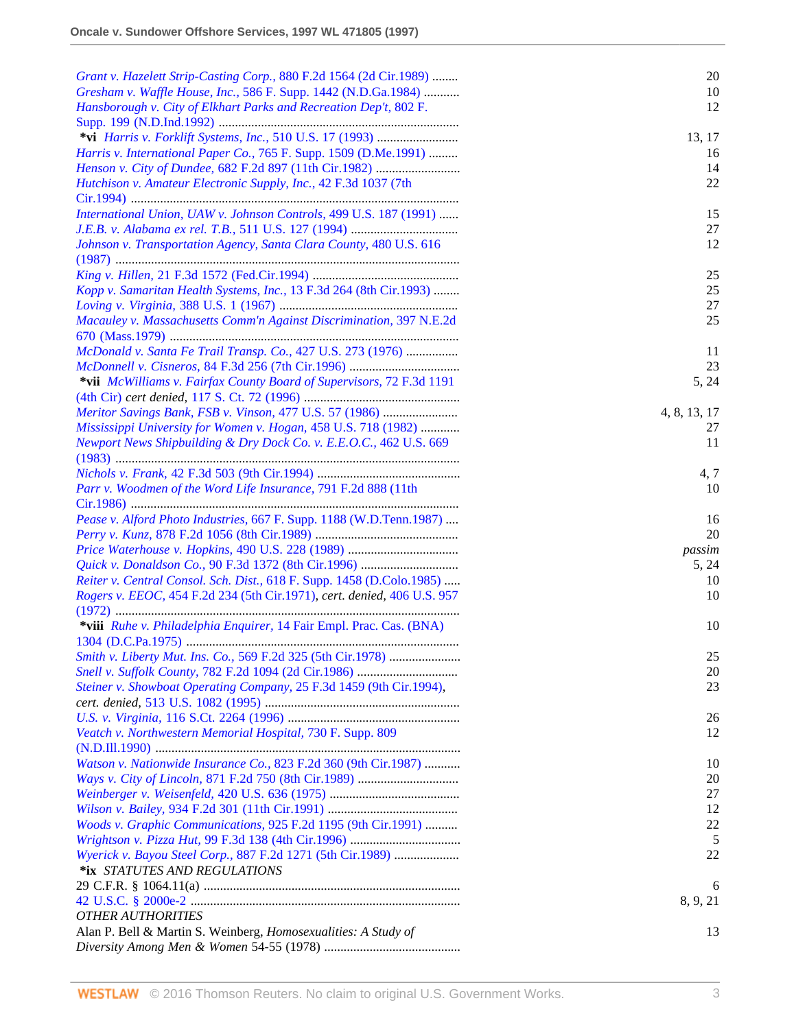| Grant v. Hazelett Strip-Casting Corp., 880 F.2d 1564 (2d Cir.1989)      | 20           |
|-------------------------------------------------------------------------|--------------|
| Gresham v. Waffle House, Inc., 586 F. Supp. 1442 (N.D.Ga.1984)          | 10           |
| Hansborough v. City of Elkhart Parks and Recreation Dep't, 802 F.       | 12           |
|                                                                         |              |
|                                                                         | 13, 17       |
| Harris v. International Paper Co., 765 F. Supp. 1509 (D.Me.1991)        | 16           |
|                                                                         | 14           |
| Hutchison v. Amateur Electronic Supply, Inc., 42 F.3d 1037 (7th         | 22           |
|                                                                         |              |
| International Union, UAW v. Johnson Controls, 499 U.S. 187 (1991)       | 15           |
|                                                                         | 27           |
| Johnson v. Transportation Agency, Santa Clara County, 480 U.S. 616      | 12           |
|                                                                         |              |
|                                                                         | 25           |
| Kopp v. Samaritan Health Systems, Inc., 13 F.3d 264 (8th Cir.1993)      | 25           |
|                                                                         | 27           |
| Macauley v. Massachusetts Comm'n Against Discrimination, 397 N.E.2d     | 25           |
|                                                                         |              |
| McDonald v. Santa Fe Trail Transp. Co., 427 U.S. 273 (1976)             | 11           |
|                                                                         | 23           |
| *vii McWilliams v. Fairfax County Board of Supervisors, 72 F.3d 1191    | 5, 24        |
|                                                                         |              |
| Meritor Savings Bank, FSB v. Vinson, 477 U.S. 57 (1986)                 | 4, 8, 13, 17 |
| Mississippi University for Women v. Hogan, 458 U.S. 718 (1982)          | 27           |
| Newport News Shipbuilding & Dry Dock Co. v. E.E.O.C., 462 U.S. 669      | 11           |
|                                                                         |              |
|                                                                         | 4, 7         |
| Parr v. Woodmen of the Word Life Insurance, 791 F.2d 888 (11th          | 10           |
|                                                                         |              |
| Pease v. Alford Photo Industries, 667 F. Supp. 1188 (W.D.Tenn.1987)     | 16           |
|                                                                         | 20           |
|                                                                         | passim       |
|                                                                         | 5, 24        |
| Reiter v. Central Consol. Sch. Dist., 618 F. Supp. 1458 (D.Colo.1985)   | 10           |
| Rogers v. EEOC, 454 F.2d 234 (5th Cir.1971), cert. denied, 406 U.S. 957 | 10           |
|                                                                         |              |
| *viii Ruhe v. Philadelphia Enquirer, 14 Fair Empl. Prac. Cas. (BNA)     | 10           |
|                                                                         |              |
| Smith v. Liberty Mut. Ins. Co., 569 F.2d 325 (5th Cir.1978)             | 25           |
|                                                                         | 20           |
| Steiner v. Showboat Operating Company, 25 F.3d 1459 (9th Cir.1994),     | 23           |
|                                                                         |              |
|                                                                         | 26           |
| Veatch v. Northwestern Memorial Hospital, 730 F. Supp. 809              | 12           |
|                                                                         |              |
| Watson v. Nationwide Insurance Co., 823 F.2d 360 (9th Cir.1987)         | 10           |
|                                                                         | 20           |
|                                                                         | 27           |
|                                                                         | 12           |
| Woods v. Graphic Communications, 925 F.2d 1195 (9th Cir.1991)           | 22           |
|                                                                         | 5            |
| Wyerick v. Bayou Steel Corp., 887 F.2d 1271 (5th Cir.1989)              | 22           |
| *ix STATUTES AND REGULATIONS                                            |              |
|                                                                         | 6            |
|                                                                         | 8, 9, 21     |
| <b>OTHER AUTHORITIES</b>                                                |              |
| Alan P. Bell & Martin S. Weinberg, Homosexualities: A Study of          | 13           |
|                                                                         |              |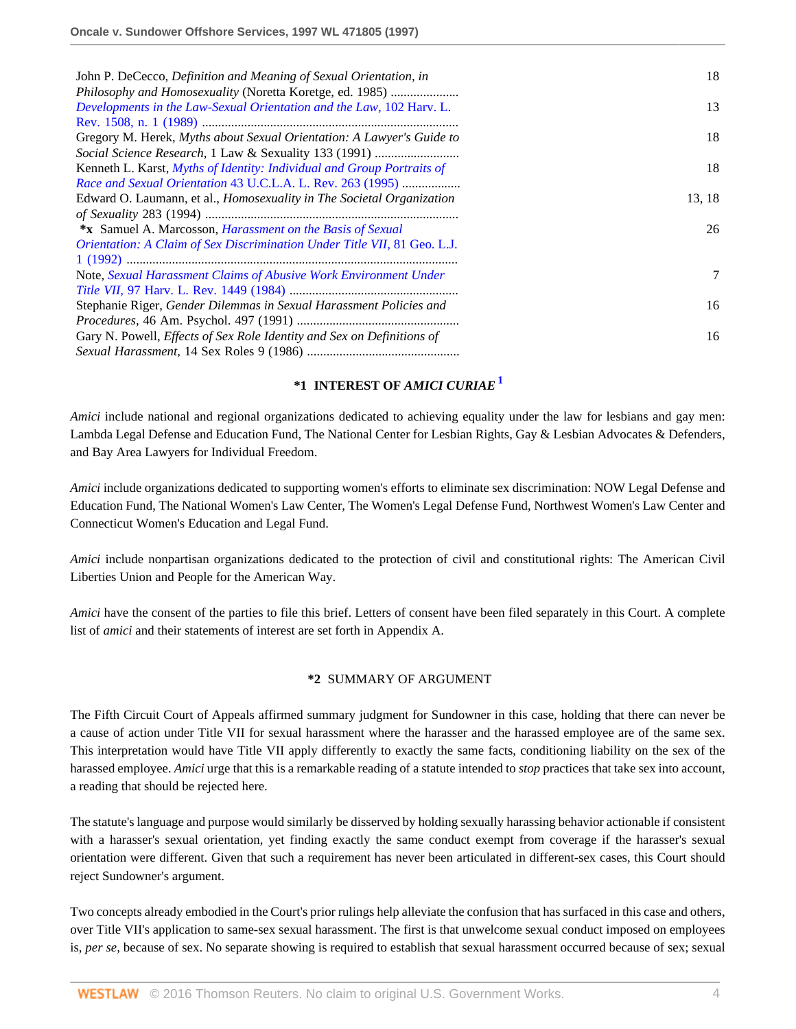| John P. DeCecco, Definition and Meaning of Sexual Orientation, in            | 18     |
|------------------------------------------------------------------------------|--------|
| Philosophy and Homosexuality (Noretta Koretge, ed. 1985)                     |        |
| Developments in the Law-Sexual Orientation and the Law, 102 Harv. L.         | 13     |
|                                                                              |        |
| Gregory M. Herek, Myths about Sexual Orientation: A Lawyer's Guide to        | 18     |
|                                                                              |        |
| Kenneth L. Karst, Myths of Identity: Individual and Group Portraits of       | 18     |
| Race and Sexual Orientation 43 U.C.L.A. L. Rev. 263 (1995)                   |        |
| Edward O. Laumann, et al., <i>Homosexuality in The Societal Organization</i> | 13, 18 |
|                                                                              |        |
| *x Samuel A. Marcosson, <i>Harassment on the Basis of Sexual</i>             | 26     |
| Orientation: A Claim of Sex Discrimination Under Title VII, 81 Geo. L.J.     |        |
|                                                                              |        |
| Note, Sexual Harassment Claims of Abusive Work Environment Under             | 7      |
|                                                                              |        |
| Stephanie Riger, Gender Dilemmas in Sexual Harassment Policies and           | 16     |
|                                                                              |        |
| Gary N. Powell, Effects of Sex Role Identity and Sex on Definitions of       | 16     |
|                                                                              |        |

## <span id="page-3-0"></span>**\*1 INTEREST OF** *AMICI CURIAE***[1](#page-13-0)**

*Amici* include national and regional organizations dedicated to achieving equality under the law for lesbians and gay men: Lambda Legal Defense and Education Fund, The National Center for Lesbian Rights, Gay & Lesbian Advocates & Defenders, and Bay Area Lawyers for Individual Freedom.

*Amici* include organizations dedicated to supporting women's efforts to eliminate sex discrimination: NOW Legal Defense and Education Fund, The National Women's Law Center, The Women's Legal Defense Fund, Northwest Women's Law Center and Connecticut Women's Education and Legal Fund.

*Amici* include nonpartisan organizations dedicated to the protection of civil and constitutional rights: The American Civil Liberties Union and People for the American Way.

*Amici* have the consent of the parties to file this brief. Letters of consent have been filed separately in this Court. A complete list of *amici* and their statements of interest are set forth in Appendix A.

### **\*2** SUMMARY OF ARGUMENT

The Fifth Circuit Court of Appeals affirmed summary judgment for Sundowner in this case, holding that there can never be a cause of action under Title VII for sexual harassment where the harasser and the harassed employee are of the same sex. This interpretation would have Title VII apply differently to exactly the same facts, conditioning liability on the sex of the harassed employee. *Amici* urge that this is a remarkable reading of a statute intended to *stop* practices that take sex into account, a reading that should be rejected here.

The statute's language and purpose would similarly be disserved by holding sexually harassing behavior actionable if consistent with a harasser's sexual orientation, yet finding exactly the same conduct exempt from coverage if the harasser's sexual orientation were different. Given that such a requirement has never been articulated in different-sex cases, this Court should reject Sundowner's argument.

Two concepts already embodied in the Court's prior rulings help alleviate the confusion that has surfaced in this case and others, over Title VII's application to same-sex sexual harassment. The first is that unwelcome sexual conduct imposed on employees is, *per se,* because of sex. No separate showing is required to establish that sexual harassment occurred because of sex; sexual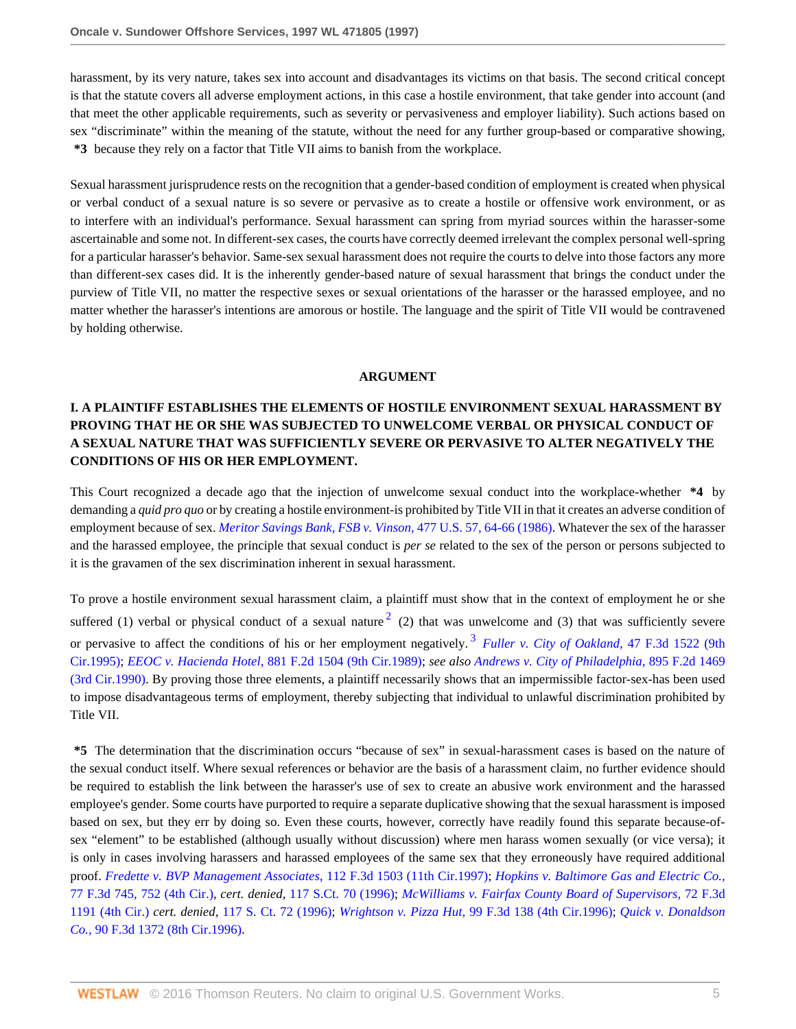harassment, by its very nature, takes sex into account and disadvantages its victims on that basis. The second critical concept is that the statute covers all adverse employment actions, in this case a hostile environment, that take gender into account (and that meet the other applicable requirements, such as severity or pervasiveness and employer liability). Such actions based on sex "discriminate" within the meaning of the statute, without the need for any further group-based or comparative showing, **\*3** because they rely on a factor that Title VII aims to banish from the workplace.

Sexual harassment jurisprudence rests on the recognition that a gender-based condition of employment is created when physical or verbal conduct of a sexual nature is so severe or pervasive as to create a hostile or offensive work environment, or as to interfere with an individual's performance. Sexual harassment can spring from myriad sources within the harasser-some ascertainable and some not. In different-sex cases, the courts have correctly deemed irrelevant the complex personal well-spring for a particular harasser's behavior. Same-sex sexual harassment does not require the courts to delve into those factors any more than different-sex cases did. It is the inherently gender-based nature of sexual harassment that brings the conduct under the purview of Title VII, no matter the respective sexes or sexual orientations of the harasser or the harassed employee, and no matter whether the harasser's intentions are amorous or hostile. The language and the spirit of Title VII would be contravened by holding otherwise.

#### <span id="page-4-1"></span><span id="page-4-0"></span>**ARGUMENT**

# **I. A PLAINTIFF ESTABLISHES THE ELEMENTS OF HOSTILE ENVIRONMENT SEXUAL HARASSMENT BY PROVING THAT HE OR SHE WAS SUBJECTED TO UNWELCOME VERBAL OR PHYSICAL CONDUCT OF A SEXUAL NATURE THAT WAS SUFFICIENTLY SEVERE OR PERVASIVE TO ALTER NEGATIVELY THE CONDITIONS OF HIS OR HER EMPLOYMENT.**

This Court recognized a decade ago that the injection of unwelcome sexual conduct into the workplace-whether **\*4** by demanding a *quid pro quo* or by creating a hostile environment-is prohibited by Title VII in that it creates an adverse condition of employment because of sex. *[Meritor Savings Bank, FSB v. Vinson,](http://www.westlaw.com/Link/Document/FullText?findType=Y&serNum=1986131475&pubNum=780&originatingDoc=I1e63f32447c011d98915dbcd77ee80bc&refType=RP&fi=co_pp_sp_780_64&originationContext=document&vr=3.0&rs=cblt1.0&transitionType=DocumentItem&contextData=(sc.RelatedInfo)#co_pp_sp_780_64)* 477 U.S. 57, 64-66 (1986). Whatever the sex of the harasser and the harassed employee, the principle that sexual conduct is *per se* related to the sex of the person or persons subjected to it is the gravamen of the sex discrimination inherent in sexual harassment.

To prove a hostile environment sexual harassment claim, a plaintiff must show that in the context of employment he or she suffered (1) verbal or physical conduct of a sexual nature  $2$  (2) that was unwelcome and (3) that was sufficiently severe or pervasive to affect the conditions of his or her employment negatively.<sup>[3](#page-13-2)</sup> *Fuller v. City of Oakland*, 47 F.3d 1522 (9th [Cir.1995\);](http://www.westlaw.com/Link/Document/FullText?findType=Y&serNum=1995047760&pubNum=506&originatingDoc=I1e63f32447c011d98915dbcd77ee80bc&refType=RP&originationContext=document&vr=3.0&rs=cblt1.0&transitionType=DocumentItem&contextData=(sc.RelatedInfo)) *EEOC v. Hacienda Hotel,* [881 F.2d 1504 \(9th Cir.1989\);](http://www.westlaw.com/Link/Document/FullText?findType=Y&serNum=1989118881&pubNum=350&originatingDoc=I1e63f32447c011d98915dbcd77ee80bc&refType=RP&originationContext=document&vr=3.0&rs=cblt1.0&transitionType=DocumentItem&contextData=(sc.RelatedInfo)) *see also [Andrews v. City of Philadelphia,](http://www.westlaw.com/Link/Document/FullText?findType=Y&serNum=1990032858&pubNum=350&originatingDoc=I1e63f32447c011d98915dbcd77ee80bc&refType=RP&originationContext=document&vr=3.0&rs=cblt1.0&transitionType=DocumentItem&contextData=(sc.RelatedInfo))* 895 F.2d 1469 [\(3rd Cir.1990\).](http://www.westlaw.com/Link/Document/FullText?findType=Y&serNum=1990032858&pubNum=350&originatingDoc=I1e63f32447c011d98915dbcd77ee80bc&refType=RP&originationContext=document&vr=3.0&rs=cblt1.0&transitionType=DocumentItem&contextData=(sc.RelatedInfo)) By proving those three elements, a plaintiff necessarily shows that an impermissible factor-sex-has been used to impose disadvantageous terms of employment, thereby subjecting that individual to unlawful discrimination prohibited by Title VII.

**\*5** The determination that the discrimination occurs "because of sex" in sexual-harassment cases is based on the nature of the sexual conduct itself. Where sexual references or behavior are the basis of a harassment claim, no further evidence should be required to establish the link between the harasser's use of sex to create an abusive work environment and the harassed employee's gender. Some courts have purported to require a separate duplicative showing that the sexual harassment is imposed based on sex, but they err by doing so. Even these courts, however, correctly have readily found this separate because-ofsex "element" to be established (although usually without discussion) where men harass women sexually (or vice versa); it is only in cases involving harassers and harassed employees of the same sex that they erroneously have required additional proof. *[Fredette v. BVP Management Associates,](http://www.westlaw.com/Link/Document/FullText?findType=Y&serNum=1997105486&pubNum=506&originatingDoc=I1e63f32447c011d98915dbcd77ee80bc&refType=RP&originationContext=document&vr=3.0&rs=cblt1.0&transitionType=DocumentItem&contextData=(sc.RelatedInfo))* 112 F.3d 1503 (11th Cir.1997); *[Hopkins v. Baltimore Gas and Electric Co.,](http://www.westlaw.com/Link/Document/FullText?findType=Y&serNum=1996063960&pubNum=506&originatingDoc=I1e63f32447c011d98915dbcd77ee80bc&refType=RP&fi=co_pp_sp_506_752&originationContext=document&vr=3.0&rs=cblt1.0&transitionType=DocumentItem&contextData=(sc.RelatedInfo)#co_pp_sp_506_752)* [77 F.3d 745, 752 \(4th Cir.\)](http://www.westlaw.com/Link/Document/FullText?findType=Y&serNum=1996063960&pubNum=506&originatingDoc=I1e63f32447c011d98915dbcd77ee80bc&refType=RP&fi=co_pp_sp_506_752&originationContext=document&vr=3.0&rs=cblt1.0&transitionType=DocumentItem&contextData=(sc.RelatedInfo)#co_pp_sp_506_752), *cert. denied,* [117 S.Ct. 70 \(1996\);](http://www.westlaw.com/Link/Document/FullText?findType=Y&serNum=1996135759&pubNum=708&originatingDoc=I1e63f32447c011d98915dbcd77ee80bc&refType=RP&originationContext=document&vr=3.0&rs=cblt1.0&transitionType=DocumentItem&contextData=(sc.RelatedInfo)) *[McWilliams v. Fairfax County Board of Supervisors,](http://www.westlaw.com/Link/Document/FullText?findType=Y&serNum=1996028073&pubNum=506&originatingDoc=I1e63f32447c011d98915dbcd77ee80bc&refType=RP&originationContext=document&vr=3.0&rs=cblt1.0&transitionType=DocumentItem&contextData=(sc.RelatedInfo))* 72 F.3d [1191 \(4th Cir.\)](http://www.westlaw.com/Link/Document/FullText?findType=Y&serNum=1996028073&pubNum=506&originatingDoc=I1e63f32447c011d98915dbcd77ee80bc&refType=RP&originationContext=document&vr=3.0&rs=cblt1.0&transitionType=DocumentItem&contextData=(sc.RelatedInfo)) *cert. denied,* [117 S. Ct. 72 \(1996\)](http://www.westlaw.com/Link/Document/FullText?findType=Y&serNum=1996135800&pubNum=708&originatingDoc=I1e63f32447c011d98915dbcd77ee80bc&refType=RP&originationContext=document&vr=3.0&rs=cblt1.0&transitionType=DocumentItem&contextData=(sc.RelatedInfo)); *Wrightson v. Pizza Hut,* [99 F.3d 138 \(4th Cir.1996\)](http://www.westlaw.com/Link/Document/FullText?findType=Y&serNum=1996243530&pubNum=506&originatingDoc=I1e63f32447c011d98915dbcd77ee80bc&refType=RP&originationContext=document&vr=3.0&rs=cblt1.0&transitionType=DocumentItem&contextData=(sc.RelatedInfo)); *[Quick v. Donaldson](http://www.westlaw.com/Link/Document/FullText?findType=Y&serNum=1996170391&pubNum=506&originatingDoc=I1e63f32447c011d98915dbcd77ee80bc&refType=RP&originationContext=document&vr=3.0&rs=cblt1.0&transitionType=DocumentItem&contextData=(sc.RelatedInfo)) Co.,* [90 F.3d 1372 \(8th Cir.1996\).](http://www.westlaw.com/Link/Document/FullText?findType=Y&serNum=1996170391&pubNum=506&originatingDoc=I1e63f32447c011d98915dbcd77ee80bc&refType=RP&originationContext=document&vr=3.0&rs=cblt1.0&transitionType=DocumentItem&contextData=(sc.RelatedInfo))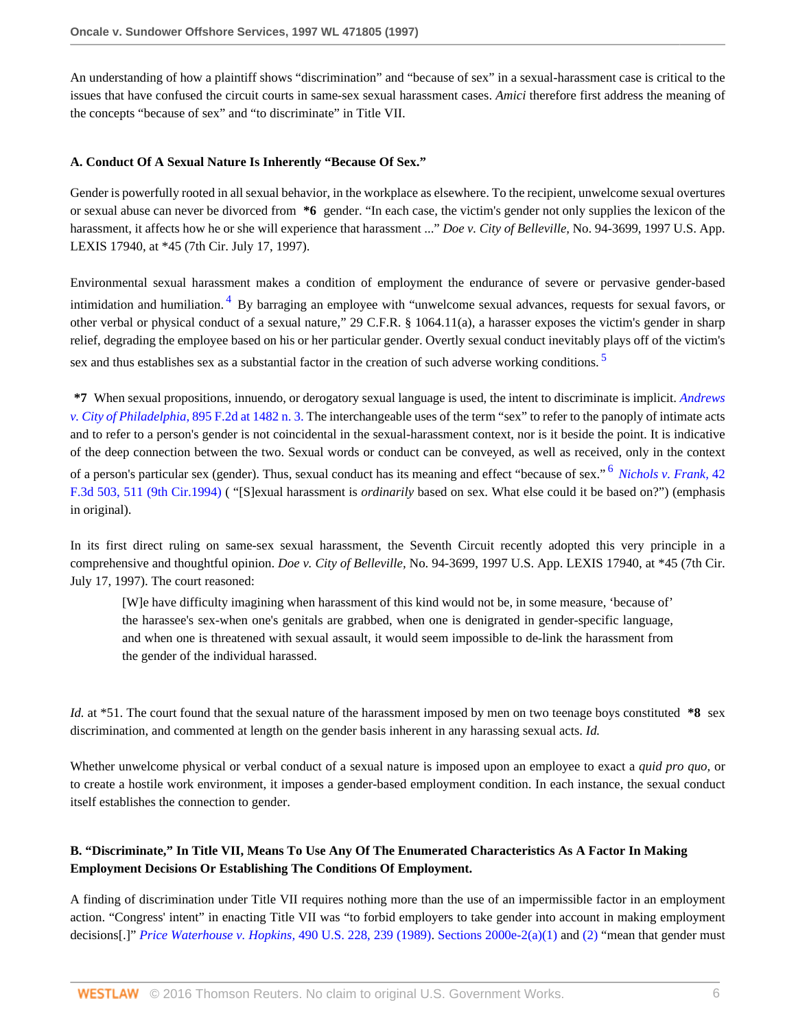An understanding of how a plaintiff shows "discrimination" and "because of sex" in a sexual-harassment case is critical to the issues that have confused the circuit courts in same-sex sexual harassment cases. *Amici* therefore first address the meaning of the concepts "because of sex" and "to discriminate" in Title VII.

#### **A. Conduct Of A Sexual Nature Is Inherently "Because Of Sex."**

Gender is powerfully rooted in all sexual behavior, in the workplace as elsewhere. To the recipient, unwelcome sexual overtures or sexual abuse can never be divorced from **\*6** gender. "In each case, the victim's gender not only supplies the lexicon of the harassment, it affects how he or she will experience that harassment ..." *Doe v. City of Belleville,* No. 94-3699, 1997 U.S. App. LEXIS 17940, at \*45 (7th Cir. July 17, 1997).

<span id="page-5-0"></span>Environmental sexual harassment makes a condition of employment the endurance of severe or pervasive gender-based intimidation and humiliation.<sup>[4](#page-13-3)</sup> By barraging an employee with "unwelcome sexual advances, requests for sexual favors, or other verbal or physical conduct of a sexual nature," 29 C.F.R. § 1064.11(a), a harasser exposes the victim's gender in sharp relief, degrading the employee based on his or her particular gender. Overtly sexual conduct inevitably plays off of the victim's sex and thus establishes sex as a substantial factor in the creation of such adverse working conditions.<sup>[5](#page-13-4)</sup>

<span id="page-5-1"></span>**\*7** When sexual propositions, innuendo, or derogatory sexual language is used, the intent to discriminate is implicit. *[Andrews](http://www.westlaw.com/Link/Document/FullText?findType=Y&serNum=1990032858&pubNum=350&originatingDoc=I1e63f32447c011d98915dbcd77ee80bc&refType=RP&fi=co_pp_sp_350_1482&originationContext=document&vr=3.0&rs=cblt1.0&transitionType=DocumentItem&contextData=(sc.RelatedInfo)#co_pp_sp_350_1482) [v. City of Philadelphia,](http://www.westlaw.com/Link/Document/FullText?findType=Y&serNum=1990032858&pubNum=350&originatingDoc=I1e63f32447c011d98915dbcd77ee80bc&refType=RP&fi=co_pp_sp_350_1482&originationContext=document&vr=3.0&rs=cblt1.0&transitionType=DocumentItem&contextData=(sc.RelatedInfo)#co_pp_sp_350_1482)* 895 F.2d at 1482 n. 3. The interchangeable uses of the term "sex" to refer to the panoply of intimate acts and to refer to a person's gender is not coincidental in the sexual-harassment context, nor is it beside the point. It is indicative of the deep connection between the two. Sexual words or conduct can be conveyed, as well as received, only in the context of a person's particular sex (gender). Thus, sexual conduct has its meaning and effect "because of sex." [6](#page-13-5) *[Nichols v. Frank,](http://www.westlaw.com/Link/Document/FullText?findType=Y&serNum=1994235204&pubNum=506&originatingDoc=I1e63f32447c011d98915dbcd77ee80bc&refType=RP&fi=co_pp_sp_506_511&originationContext=document&vr=3.0&rs=cblt1.0&transitionType=DocumentItem&contextData=(sc.RelatedInfo)#co_pp_sp_506_511)* 42 [F.3d 503, 511 \(9th Cir.1994\)](http://www.westlaw.com/Link/Document/FullText?findType=Y&serNum=1994235204&pubNum=506&originatingDoc=I1e63f32447c011d98915dbcd77ee80bc&refType=RP&fi=co_pp_sp_506_511&originationContext=document&vr=3.0&rs=cblt1.0&transitionType=DocumentItem&contextData=(sc.RelatedInfo)#co_pp_sp_506_511) ( "[S]exual harassment is *ordinarily* based on sex. What else could it be based on?") (emphasis in original).

In its first direct ruling on same-sex sexual harassment, the Seventh Circuit recently adopted this very principle in a comprehensive and thoughtful opinion. *Doe v. City of Belleville,* No. 94-3699, 1997 U.S. App. LEXIS 17940, at \*45 (7th Cir. July 17, 1997). The court reasoned:

<span id="page-5-2"></span>[W]e have difficulty imagining when harassment of this kind would not be, in some measure, 'because of' the harassee's sex-when one's genitals are grabbed, when one is denigrated in gender-specific language, and when one is threatened with sexual assault, it would seem impossible to de-link the harassment from the gender of the individual harassed.

*Id.* at \*51. The court found that the sexual nature of the harassment imposed by men on two teenage boys constituted **\*8** sex discrimination, and commented at length on the gender basis inherent in any harassing sexual acts. *Id.*

Whether unwelcome physical or verbal conduct of a sexual nature is imposed upon an employee to exact a *quid pro quo,* or to create a hostile work environment, it imposes a gender-based employment condition. In each instance, the sexual conduct itself establishes the connection to gender.

# **B. "Discriminate," In Title VII, Means To Use Any Of The Enumerated Characteristics As A Factor In Making Employment Decisions Or Establishing The Conditions Of Employment.**

A finding of discrimination under Title VII requires nothing more than the use of an impermissible factor in an employment action. "Congress' intent" in enacting Title VII was "to forbid employers to take gender into account in making employment decisions[.]" *[Price Waterhouse v. Hopkins,](http://www.westlaw.com/Link/Document/FullText?findType=Y&serNum=1989063356&pubNum=780&originatingDoc=I1e63f32447c011d98915dbcd77ee80bc&refType=RP&fi=co_pp_sp_780_239&originationContext=document&vr=3.0&rs=cblt1.0&transitionType=DocumentItem&contextData=(sc.RelatedInfo)#co_pp_sp_780_239)* 490 U.S. 228, 239 (1989). [Sections 2000e-2\(a\)\(1\)](http://www.westlaw.com/Link/Document/FullText?findType=L&pubNum=1000546&cite=42USCAS2000E-2&originatingDoc=I1e63f32447c011d98915dbcd77ee80bc&refType=RB&originationContext=document&vr=3.0&rs=cblt1.0&transitionType=DocumentItem&contextData=(sc.RelatedInfo)#co_pp_7b9b000044381) and [\(2\)](http://www.westlaw.com/Link/Document/FullText?findType=L&pubNum=1000546&cite=42USCAS2000E-2&originatingDoc=I1e63f32447c011d98915dbcd77ee80bc&refType=RB&originationContext=document&vr=3.0&rs=cblt1.0&transitionType=DocumentItem&contextData=(sc.RelatedInfo)#co_pp_58730000872b1) "mean that gender must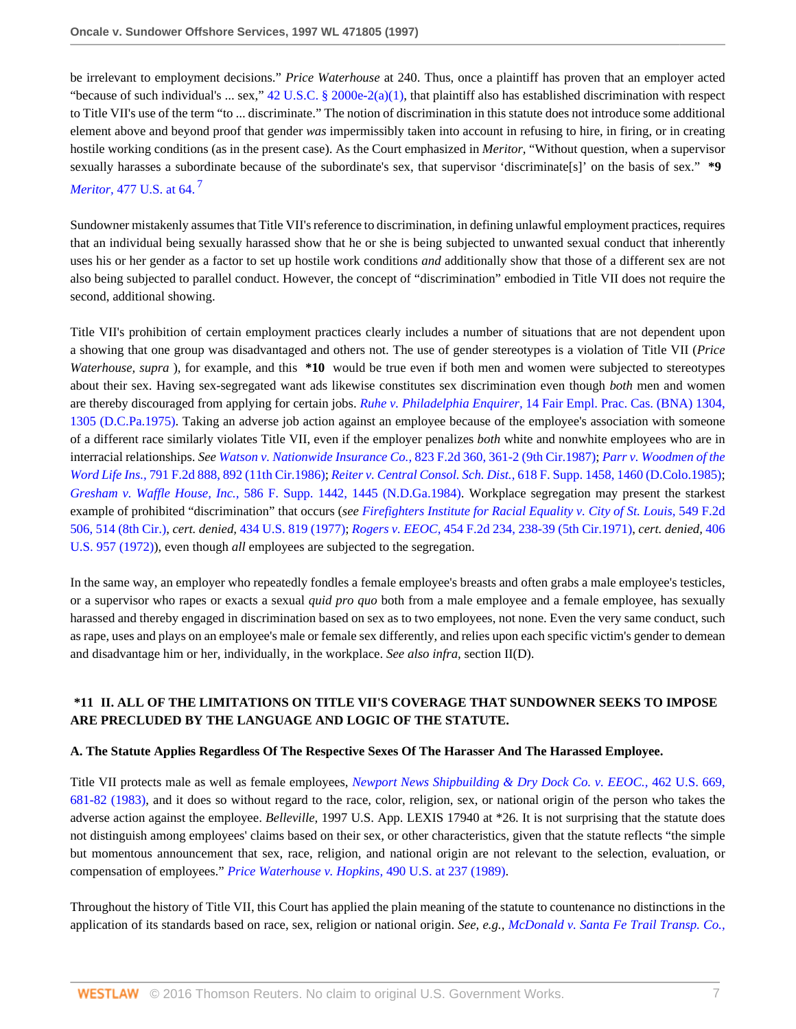be irrelevant to employment decisions." *Price Waterhouse* at 240. Thus, once a plaintiff has proven that an employer acted "because of such individual's ... sex,"  $42$  U.S.C. § 2000e-2(a)(1), that plaintiff also has established discrimination with respect to Title VII's use of the term "to ... discriminate." The notion of discrimination in this statute does not introduce some additional element above and beyond proof that gender *was* impermissibly taken into account in refusing to hire, in firing, or in creating hostile working conditions (as in the present case). As the Court emphasized in *Meritor,* "Without question, when a supervisor sexually harasses a subordinate because of the subordinate's sex, that supervisor 'discriminate[s]' on the basis of sex." **\*9** *Meritor,* [477 U.S. at 64.](http://www.westlaw.com/Link/Document/FullText?findType=Y&serNum=1986131475&pubNum=780&originatingDoc=I1e63f32447c011d98915dbcd77ee80bc&refType=RP&fi=co_pp_sp_780_64&originationContext=document&vr=3.0&rs=cblt1.0&transitionType=DocumentItem&contextData=(sc.RelatedInfo)#co_pp_sp_780_64) [7](#page-13-6)

<span id="page-6-0"></span>Sundowner mistakenly assumes that Title VII's reference to discrimination, in defining unlawful employment practices, requires that an individual being sexually harassed show that he or she is being subjected to unwanted sexual conduct that inherently uses his or her gender as a factor to set up hostile work conditions *and* additionally show that those of a different sex are not also being subjected to parallel conduct. However, the concept of "discrimination" embodied in Title VII does not require the second, additional showing.

Title VII's prohibition of certain employment practices clearly includes a number of situations that are not dependent upon a showing that one group was disadvantaged and others not. The use of gender stereotypes is a violation of Title VII (*Price Waterhouse, supra* ), for example, and this **\*10** would be true even if both men and women were subjected to stereotypes about their sex. Having sex-segregated want ads likewise constitutes sex discrimination even though *both* men and women are thereby discouraged from applying for certain jobs. *Ruhe v. Philadelphia Enquirer,* [14 Fair Empl. Prac. Cas. \(BNA\) 1304,](http://www.westlaw.com/Link/Document/FullText?findType=Y&serNum=1975000790&pubNum=26&originatingDoc=I1e63f32447c011d98915dbcd77ee80bc&refType=RP&fi=co_pp_sp_26_1305&originationContext=document&vr=3.0&rs=cblt1.0&transitionType=DocumentItem&contextData=(sc.RelatedInfo)#co_pp_sp_26_1305) [1305 \(D.C.Pa.1975\).](http://www.westlaw.com/Link/Document/FullText?findType=Y&serNum=1975000790&pubNum=26&originatingDoc=I1e63f32447c011d98915dbcd77ee80bc&refType=RP&fi=co_pp_sp_26_1305&originationContext=document&vr=3.0&rs=cblt1.0&transitionType=DocumentItem&contextData=(sc.RelatedInfo)#co_pp_sp_26_1305) Taking an adverse job action against an employee because of the employee's association with someone of a different race similarly violates Title VII, even if the employer penalizes *both* white and nonwhite employees who are in interracial relationships. *See [Watson v. Nationwide Insurance Co.,](http://www.westlaw.com/Link/Document/FullText?findType=Y&serNum=1987094151&pubNum=350&originatingDoc=I1e63f32447c011d98915dbcd77ee80bc&refType=RP&fi=co_pp_sp_350_361&originationContext=document&vr=3.0&rs=cblt1.0&transitionType=DocumentItem&contextData=(sc.RelatedInfo)#co_pp_sp_350_361)* 823 F.2d 360, 361-2 (9th Cir.1987); *[Parr v. Woodmen of the](http://www.westlaw.com/Link/Document/FullText?findType=Y&serNum=1986127867&pubNum=350&originatingDoc=I1e63f32447c011d98915dbcd77ee80bc&refType=RP&fi=co_pp_sp_350_892&originationContext=document&vr=3.0&rs=cblt1.0&transitionType=DocumentItem&contextData=(sc.RelatedInfo)#co_pp_sp_350_892) Word Life Ins.,* [791 F.2d 888, 892 \(11th Cir.1986\)](http://www.westlaw.com/Link/Document/FullText?findType=Y&serNum=1986127867&pubNum=350&originatingDoc=I1e63f32447c011d98915dbcd77ee80bc&refType=RP&fi=co_pp_sp_350_892&originationContext=document&vr=3.0&rs=cblt1.0&transitionType=DocumentItem&contextData=(sc.RelatedInfo)#co_pp_sp_350_892); *Reiter v. Central Consol. Sch. Dist.,* [618 F. Supp. 1458, 1460 \(D.Colo.1985\)](http://www.westlaw.com/Link/Document/FullText?findType=Y&serNum=1985150093&pubNum=345&originatingDoc=I1e63f32447c011d98915dbcd77ee80bc&refType=RP&fi=co_pp_sp_345_1460&originationContext=document&vr=3.0&rs=cblt1.0&transitionType=DocumentItem&contextData=(sc.RelatedInfo)#co_pp_sp_345_1460); *Gresham v. Waffle House, Inc.,* [586 F. Supp. 1442, 1445 \(N.D.Ga.1984\).](http://www.westlaw.com/Link/Document/FullText?findType=Y&serNum=1984125430&pubNum=345&originatingDoc=I1e63f32447c011d98915dbcd77ee80bc&refType=RP&fi=co_pp_sp_345_1445&originationContext=document&vr=3.0&rs=cblt1.0&transitionType=DocumentItem&contextData=(sc.RelatedInfo)#co_pp_sp_345_1445) Workplace segregation may present the starkest example of prohibited "discrimination" that occurs (*see [Firefighters Institute for Racial Equality v. City of St. Louis,](http://www.westlaw.com/Link/Document/FullText?findType=Y&serNum=1977103974&pubNum=350&originatingDoc=I1e63f32447c011d98915dbcd77ee80bc&refType=RP&fi=co_pp_sp_350_514&originationContext=document&vr=3.0&rs=cblt1.0&transitionType=DocumentItem&contextData=(sc.RelatedInfo)#co_pp_sp_350_514)* 549 F.2d [506, 514 \(8th Cir.\)](http://www.westlaw.com/Link/Document/FullText?findType=Y&serNum=1977103974&pubNum=350&originatingDoc=I1e63f32447c011d98915dbcd77ee80bc&refType=RP&fi=co_pp_sp_350_514&originationContext=document&vr=3.0&rs=cblt1.0&transitionType=DocumentItem&contextData=(sc.RelatedInfo)#co_pp_sp_350_514), *cert. denied,* [434 U.S. 819 \(1977\);](http://www.westlaw.com/Link/Document/FullText?findType=Y&pubNum=780&cite=434US819&originatingDoc=I1e63f32447c011d98915dbcd77ee80bc&refType=RP&originationContext=document&vr=3.0&rs=cblt1.0&transitionType=DocumentItem&contextData=(sc.RelatedInfo)) *Rogers v. EEOC,* [454 F.2d 234, 238-39 \(5th Cir.1971\)](http://www.westlaw.com/Link/Document/FullText?findType=Y&serNum=1971114059&pubNum=350&originatingDoc=I1e63f32447c011d98915dbcd77ee80bc&refType=RP&fi=co_pp_sp_350_238&originationContext=document&vr=3.0&rs=cblt1.0&transitionType=DocumentItem&contextData=(sc.RelatedInfo)#co_pp_sp_350_238), *cert. denied,* [406](http://www.westlaw.com/Link/Document/FullText?findType=Y&serNum=1972244649&pubNum=780&originatingDoc=I1e63f32447c011d98915dbcd77ee80bc&refType=RP&originationContext=document&vr=3.0&rs=cblt1.0&transitionType=DocumentItem&contextData=(sc.RelatedInfo)) [U.S. 957 \(1972\)](http://www.westlaw.com/Link/Document/FullText?findType=Y&serNum=1972244649&pubNum=780&originatingDoc=I1e63f32447c011d98915dbcd77ee80bc&refType=RP&originationContext=document&vr=3.0&rs=cblt1.0&transitionType=DocumentItem&contextData=(sc.RelatedInfo))), even though *all* employees are subjected to the segregation.

In the same way, an employer who repeatedly fondles a female employee's breasts and often grabs a male employee's testicles, or a supervisor who rapes or exacts a sexual *quid pro quo* both from a male employee and a female employee, has sexually harassed and thereby engaged in discrimination based on sex as to two employees, not none. Even the very same conduct, such as rape, uses and plays on an employee's male or female sex differently, and relies upon each specific victim's gender to demean and disadvantage him or her, individually, in the workplace. *See also infra,* section II(D).

# **\*11 II. ALL OF THE LIMITATIONS ON TITLE VII'S COVERAGE THAT SUNDOWNER SEEKS TO IMPOSE ARE PRECLUDED BY THE LANGUAGE AND LOGIC OF THE STATUTE.**

#### **A. The Statute Applies Regardless Of The Respective Sexes Of The Harasser And The Harassed Employee.**

Title VII protects male as well as female employees, *[Newport News Shipbuilding & Dry Dock Co. v. EEOC.,](http://www.westlaw.com/Link/Document/FullText?findType=Y&serNum=1983128877&pubNum=780&originatingDoc=I1e63f32447c011d98915dbcd77ee80bc&refType=RP&fi=co_pp_sp_780_681&originationContext=document&vr=3.0&rs=cblt1.0&transitionType=DocumentItem&contextData=(sc.RelatedInfo)#co_pp_sp_780_681)* 462 U.S. 669, [681-82 \(1983\)](http://www.westlaw.com/Link/Document/FullText?findType=Y&serNum=1983128877&pubNum=780&originatingDoc=I1e63f32447c011d98915dbcd77ee80bc&refType=RP&fi=co_pp_sp_780_681&originationContext=document&vr=3.0&rs=cblt1.0&transitionType=DocumentItem&contextData=(sc.RelatedInfo)#co_pp_sp_780_681), and it does so without regard to the race, color, religion, sex, or national origin of the person who takes the adverse action against the employee. *Belleville,* 1997 U.S. App. LEXIS 17940 at \*26. It is not surprising that the statute does not distinguish among employees' claims based on their sex, or other characteristics, given that the statute reflects "the simple but momentous announcement that sex, race, religion, and national origin are not relevant to the selection, evaluation, or compensation of employees." *[Price Waterhouse v. Hopkins,](http://www.westlaw.com/Link/Document/FullText?findType=Y&serNum=1989063356&pubNum=780&originatingDoc=I1e63f32447c011d98915dbcd77ee80bc&refType=RP&fi=co_pp_sp_780_237&originationContext=document&vr=3.0&rs=cblt1.0&transitionType=DocumentItem&contextData=(sc.RelatedInfo)#co_pp_sp_780_237)* 490 U.S. at 237 (1989).

Throughout the history of Title VII, this Court has applied the plain meaning of the statute to countenance no distinctions in the application of its standards based on race, sex, religion or national origin. *See, e.g., [McDonald v. Santa Fe Trail Transp. Co.,](http://www.westlaw.com/Link/Document/FullText?findType=Y&serNum=1976142427&pubNum=780&originatingDoc=I1e63f32447c011d98915dbcd77ee80bc&refType=RP&fi=co_pp_sp_780_280&originationContext=document&vr=3.0&rs=cblt1.0&transitionType=DocumentItem&contextData=(sc.RelatedInfo)#co_pp_sp_780_280)*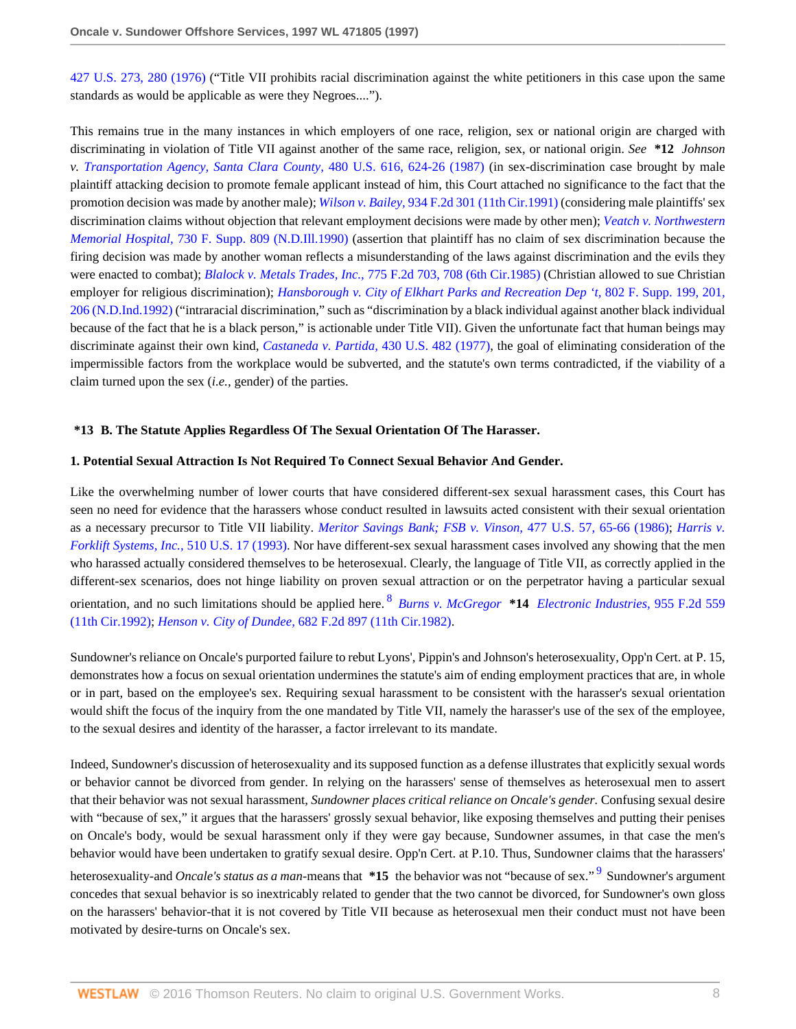[427 U.S. 273, 280 \(1976\)](http://www.westlaw.com/Link/Document/FullText?findType=Y&serNum=1976142427&pubNum=780&originatingDoc=I1e63f32447c011d98915dbcd77ee80bc&refType=RP&fi=co_pp_sp_780_280&originationContext=document&vr=3.0&rs=cblt1.0&transitionType=DocumentItem&contextData=(sc.RelatedInfo)#co_pp_sp_780_280) ("Title VII prohibits racial discrimination against the white petitioners in this case upon the same standards as would be applicable as were they Negroes....").

This remains true in the many instances in which employers of one race, religion, sex or national origin are charged with discriminating in violation of Title VII against another of the same race, religion, sex, or national origin. *See* **\*12** *Johnson v. [Transportation Agency, Santa Clara County,](http://www.westlaw.com/Link/Document/FullText?findType=Y&serNum=1987037888&pubNum=780&originatingDoc=I1e63f32447c011d98915dbcd77ee80bc&refType=RP&fi=co_pp_sp_780_624&originationContext=document&vr=3.0&rs=cblt1.0&transitionType=DocumentItem&contextData=(sc.RelatedInfo)#co_pp_sp_780_624)* 480 U.S. 616, 624-26 (1987) (in sex-discrimination case brought by male plaintiff attacking decision to promote female applicant instead of him, this Court attached no significance to the fact that the promotion decision was made by another male); *Wilson v. Bailey,* [934 F.2d 301 \(11th Cir.1991\)](http://www.westlaw.com/Link/Document/FullText?findType=Y&serNum=1991104416&pubNum=350&originatingDoc=I1e63f32447c011d98915dbcd77ee80bc&refType=RP&originationContext=document&vr=3.0&rs=cblt1.0&transitionType=DocumentItem&contextData=(sc.RelatedInfo)) (considering male plaintiffs' sex discrimination claims without objection that relevant employment decisions were made by other men); *[Veatch v. Northwestern](http://www.westlaw.com/Link/Document/FullText?findType=Y&serNum=1990033988&pubNum=345&originatingDoc=I1e63f32447c011d98915dbcd77ee80bc&refType=RP&originationContext=document&vr=3.0&rs=cblt1.0&transitionType=DocumentItem&contextData=(sc.RelatedInfo)) Memorial Hospital,* [730 F. Supp. 809 \(N.D.Ill.1990\)](http://www.westlaw.com/Link/Document/FullText?findType=Y&serNum=1990033988&pubNum=345&originatingDoc=I1e63f32447c011d98915dbcd77ee80bc&refType=RP&originationContext=document&vr=3.0&rs=cblt1.0&transitionType=DocumentItem&contextData=(sc.RelatedInfo)) (assertion that plaintiff has no claim of sex discrimination because the firing decision was made by another woman reflects a misunderstanding of the laws against discrimination and the evils they were enacted to combat); *Blalock v. Metals Trades, Inc.,* [775 F.2d 703, 708 \(6th Cir.1985\)](http://www.westlaw.com/Link/Document/FullText?findType=Y&serNum=1985152185&pubNum=350&originatingDoc=I1e63f32447c011d98915dbcd77ee80bc&refType=RP&fi=co_pp_sp_350_708&originationContext=document&vr=3.0&rs=cblt1.0&transitionType=DocumentItem&contextData=(sc.RelatedInfo)#co_pp_sp_350_708) (Christian allowed to sue Christian employer for religious discrimination); *[Hansborough v. City of Elkhart Parks and Recreation Dep 't,](http://www.westlaw.com/Link/Document/FullText?findType=Y&serNum=1992170720&pubNum=345&originatingDoc=I1e63f32447c011d98915dbcd77ee80bc&refType=RP&fi=co_pp_sp_345_201&originationContext=document&vr=3.0&rs=cblt1.0&transitionType=DocumentItem&contextData=(sc.RelatedInfo)#co_pp_sp_345_201)* 802 F. Supp. 199, 201, [206 \(N.D.Ind.1992\)](http://www.westlaw.com/Link/Document/FullText?findType=Y&serNum=1992170720&pubNum=345&originatingDoc=I1e63f32447c011d98915dbcd77ee80bc&refType=RP&fi=co_pp_sp_345_201&originationContext=document&vr=3.0&rs=cblt1.0&transitionType=DocumentItem&contextData=(sc.RelatedInfo)#co_pp_sp_345_201) ("intraracial discrimination," such as "discrimination by a black individual against another black individual because of the fact that he is a black person," is actionable under Title VII). Given the unfortunate fact that human beings may discriminate against their own kind, *[Castaneda v. Partida,](http://www.westlaw.com/Link/Document/FullText?findType=Y&serNum=1977118755&pubNum=780&originatingDoc=I1e63f32447c011d98915dbcd77ee80bc&refType=RP&originationContext=document&vr=3.0&rs=cblt1.0&transitionType=DocumentItem&contextData=(sc.RelatedInfo))* 430 U.S. 482 (1977), the goal of eliminating consideration of the impermissible factors from the workplace would be subverted, and the statute's own terms contradicted, if the viability of a claim turned upon the sex (*i.e.,* gender) of the parties.

#### **\*13 B. The Statute Applies Regardless Of The Sexual Orientation Of The Harasser.**

#### **1. Potential Sexual Attraction Is Not Required To Connect Sexual Behavior And Gender.**

Like the overwhelming number of lower courts that have considered different-sex sexual harassment cases, this Court has seen no need for evidence that the harassers whose conduct resulted in lawsuits acted consistent with their sexual orientation as a necessary precursor to Title VII liability. *[Meritor Savings Bank; FSB v. Vinson,](http://www.westlaw.com/Link/Document/FullText?findType=Y&serNum=1986131475&pubNum=780&originatingDoc=I1e63f32447c011d98915dbcd77ee80bc&refType=RP&fi=co_pp_sp_780_65&originationContext=document&vr=3.0&rs=cblt1.0&transitionType=DocumentItem&contextData=(sc.RelatedInfo)#co_pp_sp_780_65)* 477 U.S. 57, 65-66 (1986); *[Harris v.](http://www.westlaw.com/Link/Document/FullText?findType=Y&serNum=1993212367&pubNum=780&originatingDoc=I1e63f32447c011d98915dbcd77ee80bc&refType=RP&originationContext=document&vr=3.0&rs=cblt1.0&transitionType=DocumentItem&contextData=(sc.RelatedInfo)) [Forklift Systems, Inc.,](http://www.westlaw.com/Link/Document/FullText?findType=Y&serNum=1993212367&pubNum=780&originatingDoc=I1e63f32447c011d98915dbcd77ee80bc&refType=RP&originationContext=document&vr=3.0&rs=cblt1.0&transitionType=DocumentItem&contextData=(sc.RelatedInfo))* 510 U.S. 17 (1993). Nor have different-sex sexual harassment cases involved any showing that the men who harassed actually considered themselves to be heterosexual. Clearly, the language of Title VII, as correctly applied in the different-sex scenarios, does not hinge liability on proven sexual attraction or on the perpetrator having a particular sexual orientation, and no such limitations should be applied here. [8](#page-14-0) *Burns v. McGregor* **\*14** *[Electronic Industries,](http://www.westlaw.com/Link/Document/FullText?findType=Y&serNum=1992032542&pubNum=350&originatingDoc=I1e63f32447c011d98915dbcd77ee80bc&refType=RP&originationContext=document&vr=3.0&rs=cblt1.0&transitionType=DocumentItem&contextData=(sc.RelatedInfo))* 955 F.2d 559 [\(11th Cir.1992\)](http://www.westlaw.com/Link/Document/FullText?findType=Y&serNum=1992032542&pubNum=350&originatingDoc=I1e63f32447c011d98915dbcd77ee80bc&refType=RP&originationContext=document&vr=3.0&rs=cblt1.0&transitionType=DocumentItem&contextData=(sc.RelatedInfo)); *Henson v. City of Dundee,* [682 F.2d 897 \(11th Cir.1982\)](http://www.westlaw.com/Link/Document/FullText?findType=Y&serNum=1982133869&pubNum=350&originatingDoc=I1e63f32447c011d98915dbcd77ee80bc&refType=RP&originationContext=document&vr=3.0&rs=cblt1.0&transitionType=DocumentItem&contextData=(sc.RelatedInfo)).

<span id="page-7-0"></span>Sundowner's reliance on Oncale's purported failure to rebut Lyons', Pippin's and Johnson's heterosexuality, Opp'n Cert. at P. 15, demonstrates how a focus on sexual orientation undermines the statute's aim of ending employment practices that are, in whole or in part, based on the employee's sex. Requiring sexual harassment to be consistent with the harasser's sexual orientation would shift the focus of the inquiry from the one mandated by Title VII, namely the harasser's use of the sex of the employee, to the sexual desires and identity of the harasser, a factor irrelevant to its mandate.

Indeed, Sundowner's discussion of heterosexuality and its supposed function as a defense illustrates that explicitly sexual words or behavior cannot be divorced from gender. In relying on the harassers' sense of themselves as heterosexual men to assert that their behavior was not sexual harassment, *Sundowner places critical reliance on Oncale's gender.* Confusing sexual desire with "because of sex," it argues that the harassers' grossly sexual behavior, like exposing themselves and putting their penises on Oncale's body, would be sexual harassment only if they were gay because, Sundowner assumes, in that case the men's behavior would have been undertaken to gratify sexual desire. Opp'n Cert. at P.10. Thus, Sundowner claims that the harassers'

<span id="page-7-1"></span>heterosexuality-and *Oncale's status as a man*-means that \*15 the behavior was not "because of sex."<sup>[9](#page-14-1)</sup> Sundowner's argument concedes that sexual behavior is so inextricably related to gender that the two cannot be divorced, for Sundowner's own gloss on the harassers' behavior-that it is not covered by Title VII because as heterosexual men their conduct must not have been motivated by desire-turns on Oncale's sex.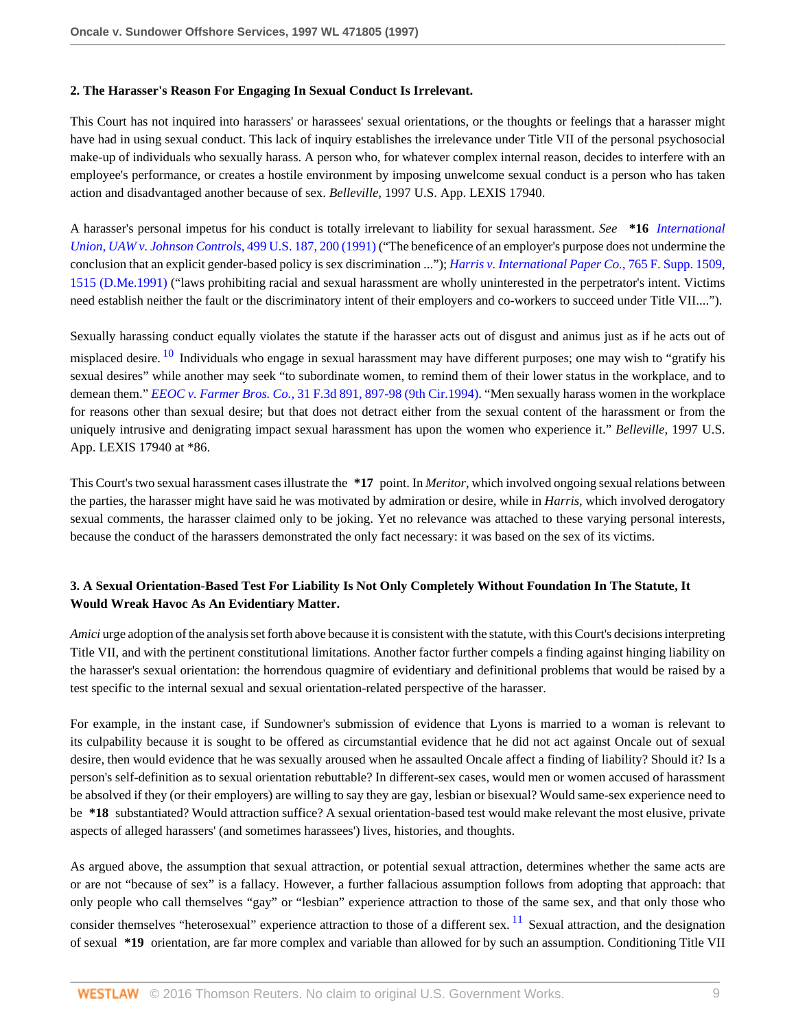#### **2. The Harasser's Reason For Engaging In Sexual Conduct Is Irrelevant.**

This Court has not inquired into harassers' or harassees' sexual orientations, or the thoughts or feelings that a harasser might have had in using sexual conduct. This lack of inquiry establishes the irrelevance under Title VII of the personal psychosocial make-up of individuals who sexually harass. A person who, for whatever complex internal reason, decides to interfere with an employee's performance, or creates a hostile environment by imposing unwelcome sexual conduct is a person who has taken action and disadvantaged another because of sex. *Belleville,* 1997 U.S. App. LEXIS 17940.

A harasser's personal impetus for his conduct is totally irrelevant to liability for sexual harassment. *See* **\*16** *[International](http://www.westlaw.com/Link/Document/FullText?findType=Y&serNum=1991055983&pubNum=780&originatingDoc=I1e63f32447c011d98915dbcd77ee80bc&refType=RP&fi=co_pp_sp_780_200&originationContext=document&vr=3.0&rs=cblt1.0&transitionType=DocumentItem&contextData=(sc.RelatedInfo)#co_pp_sp_780_200) [Union, UAW v. Johnson Controls,](http://www.westlaw.com/Link/Document/FullText?findType=Y&serNum=1991055983&pubNum=780&originatingDoc=I1e63f32447c011d98915dbcd77ee80bc&refType=RP&fi=co_pp_sp_780_200&originationContext=document&vr=3.0&rs=cblt1.0&transitionType=DocumentItem&contextData=(sc.RelatedInfo)#co_pp_sp_780_200)* 499 U.S. 187, 200 (1991) ("The beneficence of an employer's purpose does not undermine the conclusion that an explicit gender-based policy is sex discrimination ..."); *[Harris v. International Paper Co.,](http://www.westlaw.com/Link/Document/FullText?findType=Y&serNum=1991126510&pubNum=345&originatingDoc=I1e63f32447c011d98915dbcd77ee80bc&refType=RP&fi=co_pp_sp_345_1515&originationContext=document&vr=3.0&rs=cblt1.0&transitionType=DocumentItem&contextData=(sc.RelatedInfo)#co_pp_sp_345_1515)* 765 F. Supp. 1509, [1515 \(D.Me.1991\)](http://www.westlaw.com/Link/Document/FullText?findType=Y&serNum=1991126510&pubNum=345&originatingDoc=I1e63f32447c011d98915dbcd77ee80bc&refType=RP&fi=co_pp_sp_345_1515&originationContext=document&vr=3.0&rs=cblt1.0&transitionType=DocumentItem&contextData=(sc.RelatedInfo)#co_pp_sp_345_1515) ("laws prohibiting racial and sexual harassment are wholly uninterested in the perpetrator's intent. Victims need establish neither the fault or the discriminatory intent of their employers and co-workers to succeed under Title VII....").

Sexually harassing conduct equally violates the statute if the harasser acts out of disgust and animus just as if he acts out of

<span id="page-8-0"></span>misplaced desire.<sup>[10](#page-14-2)</sup> Individuals who engage in sexual harassment may have different purposes; one may wish to "gratify his sexual desires" while another may seek "to subordinate women, to remind them of their lower status in the workplace, and to demean them." *EEOC v. Farmer Bros. Co.,* [31 F.3d 891, 897-98 \(9th Cir.1994\)](http://www.westlaw.com/Link/Document/FullText?findType=Y&serNum=1994161675&pubNum=506&originatingDoc=I1e63f32447c011d98915dbcd77ee80bc&refType=RP&fi=co_pp_sp_506_897&originationContext=document&vr=3.0&rs=cblt1.0&transitionType=DocumentItem&contextData=(sc.RelatedInfo)#co_pp_sp_506_897). "Men sexually harass women in the workplace for reasons other than sexual desire; but that does not detract either from the sexual content of the harassment or from the uniquely intrusive and denigrating impact sexual harassment has upon the women who experience it." *Belleville,* 1997 U.S. App. LEXIS 17940 at \*86.

This Court's two sexual harassment cases illustrate the **\*17** point. In *Meritor,* which involved ongoing sexual relations between the parties, the harasser might have said he was motivated by admiration or desire, while in *Harris,* which involved derogatory sexual comments, the harasser claimed only to be joking. Yet no relevance was attached to these varying personal interests, because the conduct of the harassers demonstrated the only fact necessary: it was based on the sex of its victims.

# **3. A Sexual Orientation-Based Test For Liability Is Not Only Completely Without Foundation In The Statute, It Would Wreak Havoc As An Evidentiary Matter.**

*Amici* urge adoption of the analysis set forth above because it is consistent with the statute, with this Court's decisions interpreting Title VII, and with the pertinent constitutional limitations. Another factor further compels a finding against hinging liability on the harasser's sexual orientation: the horrendous quagmire of evidentiary and definitional problems that would be raised by a test specific to the internal sexual and sexual orientation-related perspective of the harasser.

For example, in the instant case, if Sundowner's submission of evidence that Lyons is married to a woman is relevant to its culpability because it is sought to be offered as circumstantial evidence that he did not act against Oncale out of sexual desire, then would evidence that he was sexually aroused when he assaulted Oncale affect a finding of liability? Should it? Is a person's self-definition as to sexual orientation rebuttable? In different-sex cases, would men or women accused of harassment be absolved if they (or their employers) are willing to say they are gay, lesbian or bisexual? Would same-sex experience need to be **\*18** substantiated? Would attraction suffice? A sexual orientation-based test would make relevant the most elusive, private aspects of alleged harassers' (and sometimes harassees') lives, histories, and thoughts.

<span id="page-8-1"></span>As argued above, the assumption that sexual attraction, or potential sexual attraction, determines whether the same acts are or are not "because of sex" is a fallacy. However, a further fallacious assumption follows from adopting that approach: that only people who call themselves "gay" or "lesbian" experience attraction to those of the same sex, and that only those who consider themselves "heterosexual" experience attraction to those of a different sex.  $^{11}$  $^{11}$  $^{11}$  Sexual attraction, and the designation of sexual **\*19** orientation, are far more complex and variable than allowed for by such an assumption. Conditioning Title VII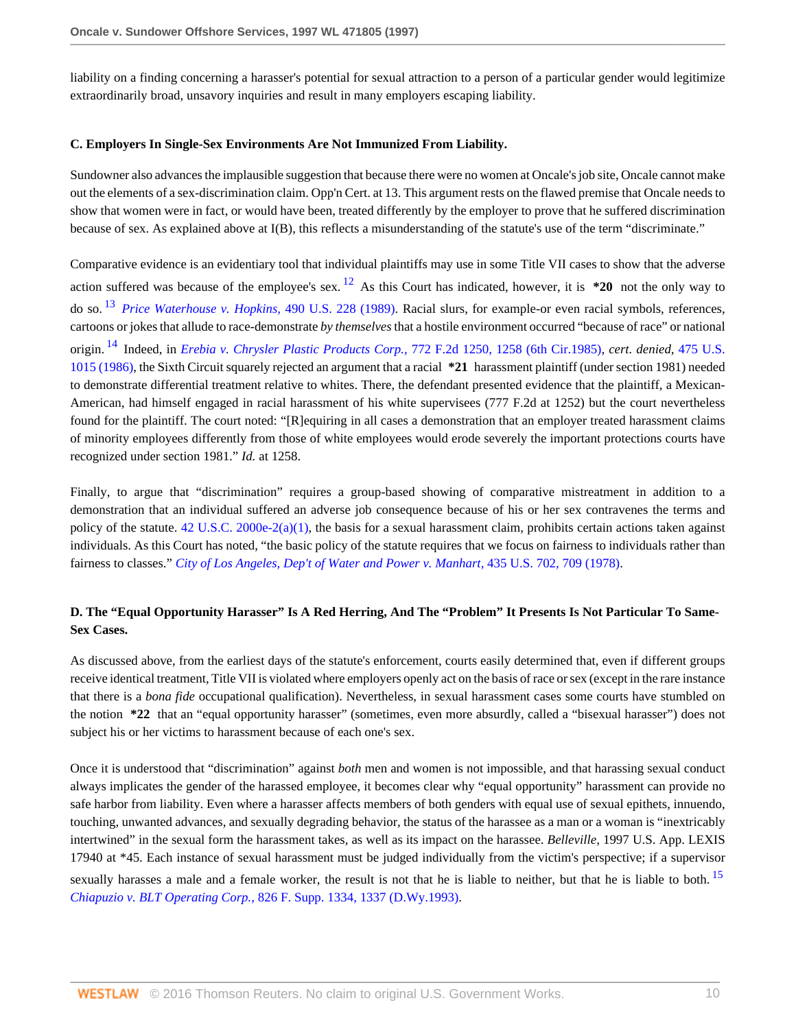liability on a finding concerning a harasser's potential for sexual attraction to a person of a particular gender would legitimize extraordinarily broad, unsavory inquiries and result in many employers escaping liability.

#### **C. Employers In Single-Sex Environments Are Not Immunized From Liability.**

Sundowner also advances the implausible suggestion that because there were no women at Oncale's job site, Oncale cannot make out the elements of a sex-discrimination claim. Opp'n Cert. at 13. This argument rests on the flawed premise that Oncale needs to show that women were in fact, or would have been, treated differently by the employer to prove that he suffered discrimination because of sex. As explained above at I(B), this reflects a misunderstanding of the statute's use of the term "discriminate."

<span id="page-9-2"></span><span id="page-9-1"></span><span id="page-9-0"></span>Comparative evidence is an evidentiary tool that individual plaintiffs may use in some Title VII cases to show that the adverse action suffered was because of the employee's sex. [12](#page-14-4) As this Court has indicated, however, it is **\*20** not the only way to do so. [13](#page-14-5) *[Price Waterhouse v. Hopkins,](http://www.westlaw.com/Link/Document/FullText?findType=Y&serNum=1989063356&pubNum=780&originatingDoc=I1e63f32447c011d98915dbcd77ee80bc&refType=RP&originationContext=document&vr=3.0&rs=cblt1.0&transitionType=DocumentItem&contextData=(sc.RelatedInfo))* 490 U.S. 228 (1989). Racial slurs, for example-or even racial symbols, references, cartoons or jokes that allude to race-demonstrate *by themselves* that a hostile environment occurred "because of race" or national origin. [14](#page-15-0) Indeed, in *[Erebia v. Chrysler Plastic Products Corp.,](http://www.westlaw.com/Link/Document/FullText?findType=Y&serNum=1985128856&pubNum=350&originatingDoc=I1e63f32447c011d98915dbcd77ee80bc&refType=RP&fi=co_pp_sp_350_1258&originationContext=document&vr=3.0&rs=cblt1.0&transitionType=DocumentItem&contextData=(sc.RelatedInfo)#co_pp_sp_350_1258)* 772 F.2d 1250, 1258 (6th Cir.1985), *cert. denied,* [475 U.S.](http://www.westlaw.com/Link/Document/FullText?findType=Y&serNum=1986210854&pubNum=780&originatingDoc=I1e63f32447c011d98915dbcd77ee80bc&refType=RP&originationContext=document&vr=3.0&rs=cblt1.0&transitionType=DocumentItem&contextData=(sc.RelatedInfo)) [1015 \(1986\),](http://www.westlaw.com/Link/Document/FullText?findType=Y&serNum=1986210854&pubNum=780&originatingDoc=I1e63f32447c011d98915dbcd77ee80bc&refType=RP&originationContext=document&vr=3.0&rs=cblt1.0&transitionType=DocumentItem&contextData=(sc.RelatedInfo)) the Sixth Circuit squarely rejected an argument that a racial **\*21** harassment plaintiff (under section 1981) needed to demonstrate differential treatment relative to whites. There, the defendant presented evidence that the plaintiff, a Mexican-American, had himself engaged in racial harassment of his white supervisees (777 F.2d at 1252) but the court nevertheless found for the plaintiff. The court noted: "[R]equiring in all cases a demonstration that an employer treated harassment claims of minority employees differently from those of white employees would erode severely the important protections courts have recognized under section 1981." *Id.* at 1258.

Finally, to argue that "discrimination" requires a group-based showing of comparative mistreatment in addition to a demonstration that an individual suffered an adverse job consequence because of his or her sex contravenes the terms and policy of the statute.  $42 \text{ U.S.C. } 2000e-2(a)(1)$ , the basis for a sexual harassment claim, prohibits certain actions taken against individuals. As this Court has noted, "the basic policy of the statute requires that we focus on fairness to individuals rather than fairness to classes." *[City of Los Angeles, Dep't of Water and Power v. Manhart,](http://www.westlaw.com/Link/Document/FullText?findType=Y&serNum=1978114221&pubNum=780&originatingDoc=I1e63f32447c011d98915dbcd77ee80bc&refType=RP&fi=co_pp_sp_780_709&originationContext=document&vr=3.0&rs=cblt1.0&transitionType=DocumentItem&contextData=(sc.RelatedInfo)#co_pp_sp_780_709)* 435 U.S. 702, 709 (1978).

## **D. The "Equal Opportunity Harasser" Is A Red Herring, And The "Problem" It Presents Is Not Particular To Same-Sex Cases.**

As discussed above, from the earliest days of the statute's enforcement, courts easily determined that, even if different groups receive identical treatment, Title VII is violated where employers openly act on the basis of race or sex (except in the rare instance that there is a *bona fide* occupational qualification). Nevertheless, in sexual harassment cases some courts have stumbled on the notion **\*22** that an "equal opportunity harasser" (sometimes, even more absurdly, called a "bisexual harasser") does not subject his or her victims to harassment because of each one's sex.

<span id="page-9-3"></span>Once it is understood that "discrimination" against *both* men and women is not impossible, and that harassing sexual conduct always implicates the gender of the harassed employee, it becomes clear why "equal opportunity" harassment can provide no safe harbor from liability. Even where a harasser affects members of both genders with equal use of sexual epithets, innuendo, touching, unwanted advances, and sexually degrading behavior, the status of the harassee as a man or a woman is "inextricably intertwined" in the sexual form the harassment takes, as well as its impact on the harassee. *Belleville,* 1997 U.S. App. LEXIS 17940 at \*45. Each instance of sexual harassment must be judged individually from the victim's perspective; if a supervisor sexually harasses a male and a female worker, the result is not that he is liable to neither, but that he is liable to both. <sup>[15](#page-15-1)</sup> *Chiapuzio v. BLT Operating Corp.,* [826 F. Supp. 1334, 1337 \(D.Wy.1993\).](http://www.westlaw.com/Link/Document/FullText?findType=Y&serNum=1993153527&pubNum=345&originatingDoc=I1e63f32447c011d98915dbcd77ee80bc&refType=RP&fi=co_pp_sp_345_1337&originationContext=document&vr=3.0&rs=cblt1.0&transitionType=DocumentItem&contextData=(sc.RelatedInfo)#co_pp_sp_345_1337)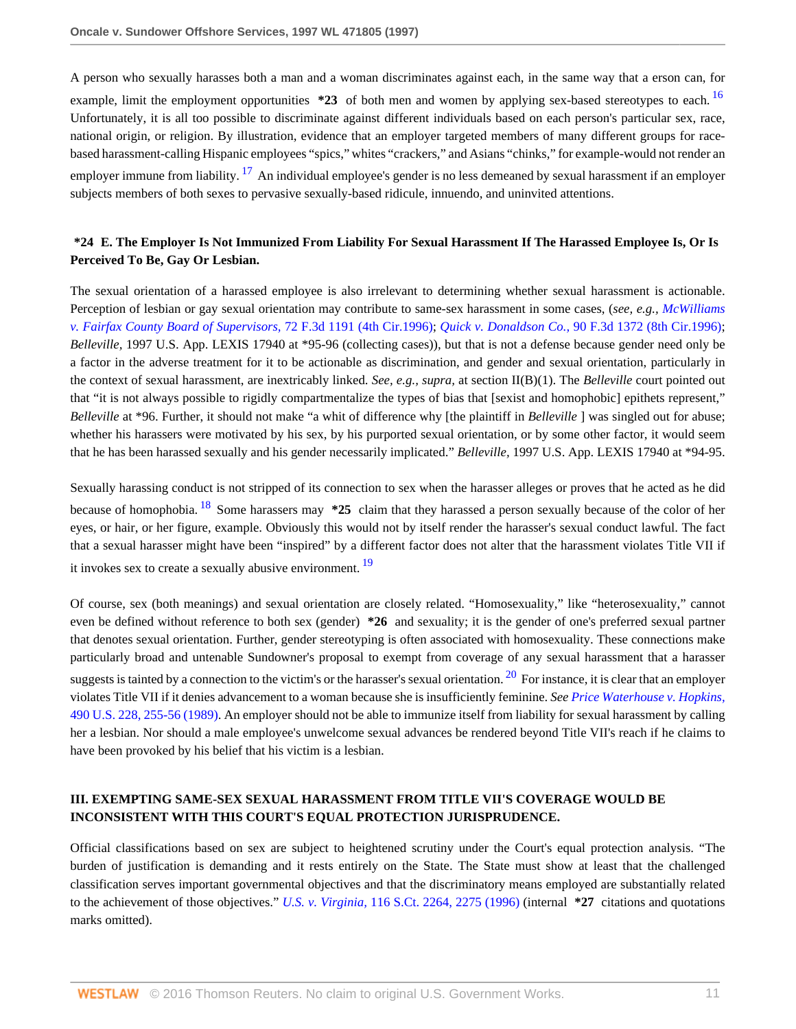<span id="page-10-0"></span>A person who sexually harasses both a man and a woman discriminates against each, in the same way that a erson can, for example, limit the employment opportunities  $*23$  of both men and women by applying sex-based stereotypes to each. <sup>[16](#page-15-2)</sup> Unfortunately, it is all too possible to discriminate against different individuals based on each person's particular sex, race, national origin, or religion. By illustration, evidence that an employer targeted members of many different groups for racebased harassment-calling Hispanic employees "spics," whites "crackers," and Asians "chinks," for example-would not render an employer immune from liability.  $17$  An individual employee's gender is no less demeaned by sexual harassment if an employer subjects members of both sexes to pervasive sexually-based ridicule, innuendo, and uninvited attentions.

## <span id="page-10-1"></span>**\*24 E. The Employer Is Not Immunized From Liability For Sexual Harassment If The Harassed Employee Is, Or Is Perceived To Be, Gay Or Lesbian.**

The sexual orientation of a harassed employee is also irrelevant to determining whether sexual harassment is actionable. Perception of lesbian or gay sexual orientation may contribute to same-sex harassment in some cases, (*see, e.g., [McWilliams](http://www.westlaw.com/Link/Document/FullText?findType=Y&serNum=1996028073&pubNum=506&originatingDoc=I1e63f32447c011d98915dbcd77ee80bc&refType=RP&originationContext=document&vr=3.0&rs=cblt1.0&transitionType=DocumentItem&contextData=(sc.RelatedInfo)) [v. Fairfax County Board of Supervisors,](http://www.westlaw.com/Link/Document/FullText?findType=Y&serNum=1996028073&pubNum=506&originatingDoc=I1e63f32447c011d98915dbcd77ee80bc&refType=RP&originationContext=document&vr=3.0&rs=cblt1.0&transitionType=DocumentItem&contextData=(sc.RelatedInfo))* 72 F.3d 1191 (4th Cir.1996); *Quick v. Donaldson Co.,* [90 F.3d 1372 \(8th Cir.1996\)](http://www.westlaw.com/Link/Document/FullText?findType=Y&serNum=1996170391&pubNum=506&originatingDoc=I1e63f32447c011d98915dbcd77ee80bc&refType=RP&originationContext=document&vr=3.0&rs=cblt1.0&transitionType=DocumentItem&contextData=(sc.RelatedInfo)); *Belleville,* 1997 U.S. App. LEXIS 17940 at \*95-96 (collecting cases)), but that is not a defense because gender need only be a factor in the adverse treatment for it to be actionable as discrimination, and gender and sexual orientation, particularly in the context of sexual harassment, are inextricably linked. *See, e.g., supra,* at section II(B)(1). The *Belleville* court pointed out that "it is not always possible to rigidly compartmentalize the types of bias that [sexist and homophobic] epithets represent," *Belleville* at \*96. Further, it should not make "a whit of difference why [the plaintiff in *Belleville* ] was singled out for abuse; whether his harassers were motivated by his sex, by his purported sexual orientation, or by some other factor, it would seem that he has been harassed sexually and his gender necessarily implicated." *Belleville,* 1997 U.S. App. LEXIS 17940 at \*94-95.

<span id="page-10-2"></span>Sexually harassing conduct is not stripped of its connection to sex when the harasser alleges or proves that he acted as he did because of homophobia. [18](#page-15-4) Some harassers may **\*25** claim that they harassed a person sexually because of the color of her eyes, or hair, or her figure, example. Obviously this would not by itself render the harasser's sexual conduct lawful. The fact that a sexual harasser might have been "inspired" by a different factor does not alter that the harassment violates Title VII if it invokes sex to create a sexually abusive environment.<sup>[19](#page-15-5)</sup>

<span id="page-10-4"></span><span id="page-10-3"></span>Of course, sex (both meanings) and sexual orientation are closely related. "Homosexuality," like "heterosexuality," cannot even be defined without reference to both sex (gender) **\*26** and sexuality; it is the gender of one's preferred sexual partner that denotes sexual orientation. Further, gender stereotyping is often associated with homosexuality. These connections make particularly broad and untenable Sundowner's proposal to exempt from coverage of any sexual harassment that a harasser suggests is tainted by a connection to the victim's or the harasser's sexual orientation.  $^{20}$  $^{20}$  $^{20}$  For instance, it is clear that an employer violates Title VII if it denies advancement to a woman because she is insufficiently feminine. *See [Price Waterhouse v. Hopkins,](http://www.westlaw.com/Link/Document/FullText?findType=Y&serNum=1989063356&pubNum=780&originatingDoc=I1e63f32447c011d98915dbcd77ee80bc&refType=RP&fi=co_pp_sp_780_255&originationContext=document&vr=3.0&rs=cblt1.0&transitionType=DocumentItem&contextData=(sc.RelatedInfo)#co_pp_sp_780_255)* [490 U.S. 228, 255-56 \(1989\).](http://www.westlaw.com/Link/Document/FullText?findType=Y&serNum=1989063356&pubNum=780&originatingDoc=I1e63f32447c011d98915dbcd77ee80bc&refType=RP&fi=co_pp_sp_780_255&originationContext=document&vr=3.0&rs=cblt1.0&transitionType=DocumentItem&contextData=(sc.RelatedInfo)#co_pp_sp_780_255) An employer should not be able to immunize itself from liability for sexual harassment by calling her a lesbian. Nor should a male employee's unwelcome sexual advances be rendered beyond Title VII's reach if he claims to have been provoked by his belief that his victim is a lesbian.

## **III. EXEMPTING SAME-SEX SEXUAL HARASSMENT FROM TITLE VII'S COVERAGE WOULD BE INCONSISTENT WITH THIS COURT'S EQUAL PROTECTION JURISPRUDENCE.**

Official classifications based on sex are subject to heightened scrutiny under the Court's equal protection analysis. "The burden of justification is demanding and it rests entirely on the State. The State must show at least that the challenged classification serves important governmental objectives and that the discriminatory means employed are substantially related to the achievement of those objectives." *U.S. v. Virginia,* [116 S.Ct. 2264, 2275 \(1996\)](http://www.westlaw.com/Link/Document/FullText?findType=Y&serNum=1996141696&pubNum=708&originatingDoc=I1e63f32447c011d98915dbcd77ee80bc&refType=RP&fi=co_pp_sp_708_2275&originationContext=document&vr=3.0&rs=cblt1.0&transitionType=DocumentItem&contextData=(sc.RelatedInfo)#co_pp_sp_708_2275) (internal **\*27** citations and quotations marks omitted).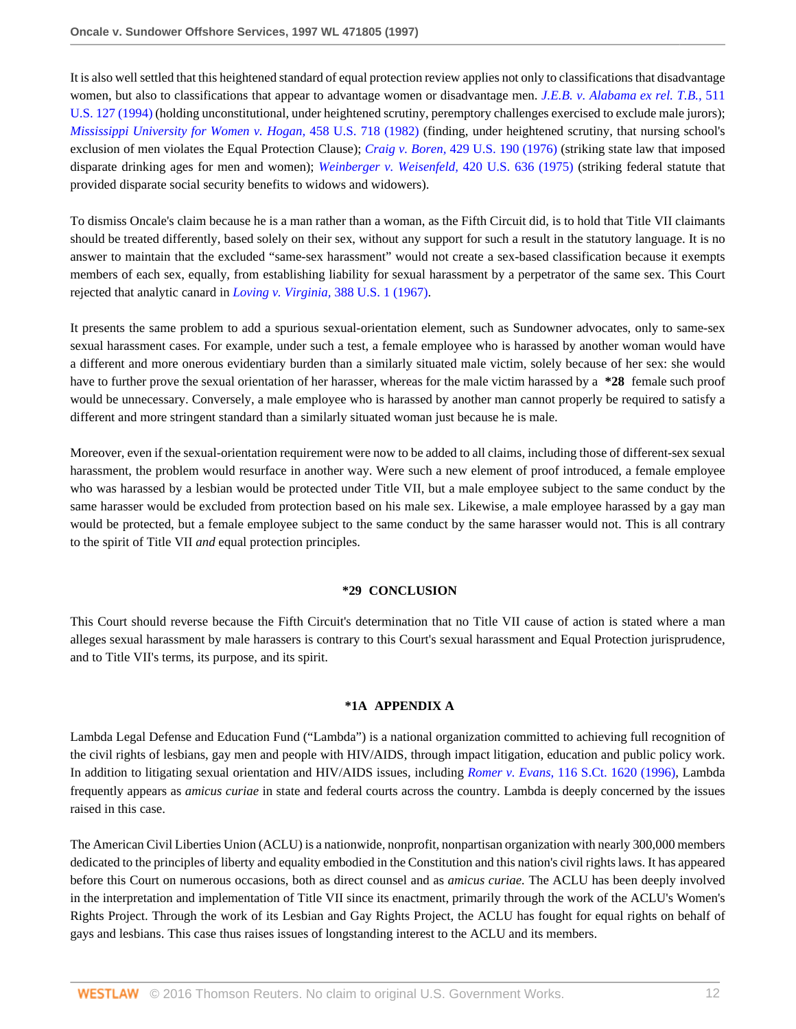It is also well settled that this heightened standard of equal protection review applies not only to classifications that disadvantage women, but also to classifications that appear to advantage women or disadvantage men. *[J.E.B. v. Alabama ex rel. T.B.,](http://www.westlaw.com/Link/Document/FullText?findType=Y&serNum=1994086673&pubNum=780&originatingDoc=I1e63f32447c011d98915dbcd77ee80bc&refType=RP&originationContext=document&vr=3.0&rs=cblt1.0&transitionType=DocumentItem&contextData=(sc.RelatedInfo))* 511 [U.S. 127 \(1994\)](http://www.westlaw.com/Link/Document/FullText?findType=Y&serNum=1994086673&pubNum=780&originatingDoc=I1e63f32447c011d98915dbcd77ee80bc&refType=RP&originationContext=document&vr=3.0&rs=cblt1.0&transitionType=DocumentItem&contextData=(sc.RelatedInfo)) (holding unconstitutional, under heightened scrutiny, peremptory challenges exercised to exclude male jurors); *[Mississippi University for Women v. Hogan,](http://www.westlaw.com/Link/Document/FullText?findType=Y&serNum=1982129570&pubNum=780&originatingDoc=I1e63f32447c011d98915dbcd77ee80bc&refType=RP&originationContext=document&vr=3.0&rs=cblt1.0&transitionType=DocumentItem&contextData=(sc.RelatedInfo))* 458 U.S. 718 (1982) (finding, under heightened scrutiny, that nursing school's exclusion of men violates the Equal Protection Clause); *Craig v. Boren,* [429 U.S. 190 \(1976\)](http://www.westlaw.com/Link/Document/FullText?findType=Y&serNum=1976141349&pubNum=780&originatingDoc=I1e63f32447c011d98915dbcd77ee80bc&refType=RP&originationContext=document&vr=3.0&rs=cblt1.0&transitionType=DocumentItem&contextData=(sc.RelatedInfo)) (striking state law that imposed disparate drinking ages for men and women); *[Weinberger v. Weisenfeld,](http://www.westlaw.com/Link/Document/FullText?findType=Y&serNum=1975129757&pubNum=780&originatingDoc=I1e63f32447c011d98915dbcd77ee80bc&refType=RP&originationContext=document&vr=3.0&rs=cblt1.0&transitionType=DocumentItem&contextData=(sc.RelatedInfo))* 420 U.S. 636 (1975) (striking federal statute that provided disparate social security benefits to widows and widowers).

To dismiss Oncale's claim because he is a man rather than a woman, as the Fifth Circuit did, is to hold that Title VII claimants should be treated differently, based solely on their sex, without any support for such a result in the statutory language. It is no answer to maintain that the excluded "same-sex harassment" would not create a sex-based classification because it exempts members of each sex, equally, from establishing liability for sexual harassment by a perpetrator of the same sex. This Court rejected that analytic canard in *[Loving v. Virginia,](http://www.westlaw.com/Link/Document/FullText?findType=Y&serNum=1967129542&pubNum=780&originatingDoc=I1e63f32447c011d98915dbcd77ee80bc&refType=RP&originationContext=document&vr=3.0&rs=cblt1.0&transitionType=DocumentItem&contextData=(sc.RelatedInfo))* 388 U.S. 1 (1967).

It presents the same problem to add a spurious sexual-orientation element, such as Sundowner advocates, only to same-sex sexual harassment cases. For example, under such a test, a female employee who is harassed by another woman would have a different and more onerous evidentiary burden than a similarly situated male victim, solely because of her sex: she would have to further prove the sexual orientation of her harasser, whereas for the male victim harassed by a **\*28** female such proof would be unnecessary. Conversely, a male employee who is harassed by another man cannot properly be required to satisfy a different and more stringent standard than a similarly situated woman just because he is male.

Moreover, even if the sexual-orientation requirement were now to be added to all claims, including those of different-sex sexual harassment, the problem would resurface in another way. Were such a new element of proof introduced, a female employee who was harassed by a lesbian would be protected under Title VII, but a male employee subject to the same conduct by the same harasser would be excluded from protection based on his male sex. Likewise, a male employee harassed by a gay man would be protected, but a female employee subject to the same conduct by the same harasser would not. This is all contrary to the spirit of Title VII *and* equal protection principles.

#### **\*29 CONCLUSION**

This Court should reverse because the Fifth Circuit's determination that no Title VII cause of action is stated where a man alleges sexual harassment by male harassers is contrary to this Court's sexual harassment and Equal Protection jurisprudence, and to Title VII's terms, its purpose, and its spirit.

#### **\*1A APPENDIX A**

Lambda Legal Defense and Education Fund ("Lambda") is a national organization committed to achieving full recognition of the civil rights of lesbians, gay men and people with HIV/AIDS, through impact litigation, education and public policy work. In addition to litigating sexual orientation and HIV/AIDS issues, including *Romer v. Evans,* [116 S.Ct. 1620 \(1996\),](http://www.westlaw.com/Link/Document/FullText?findType=Y&serNum=1996118409&pubNum=708&originatingDoc=I1e63f32447c011d98915dbcd77ee80bc&refType=RP&originationContext=document&vr=3.0&rs=cblt1.0&transitionType=DocumentItem&contextData=(sc.RelatedInfo)) Lambda frequently appears as *amicus curiae* in state and federal courts across the country. Lambda is deeply concerned by the issues raised in this case.

The American Civil Liberties Union (ACLU) is a nationwide, nonprofit, nonpartisan organization with nearly 300,000 members dedicated to the principles of liberty and equality embodied in the Constitution and this nation's civil rights laws. It has appeared before this Court on numerous occasions, both as direct counsel and as *amicus curiae.* The ACLU has been deeply involved in the interpretation and implementation of Title VII since its enactment, primarily through the work of the ACLU's Women's Rights Project. Through the work of its Lesbian and Gay Rights Project, the ACLU has fought for equal rights on behalf of gays and lesbians. This case thus raises issues of longstanding interest to the ACLU and its members.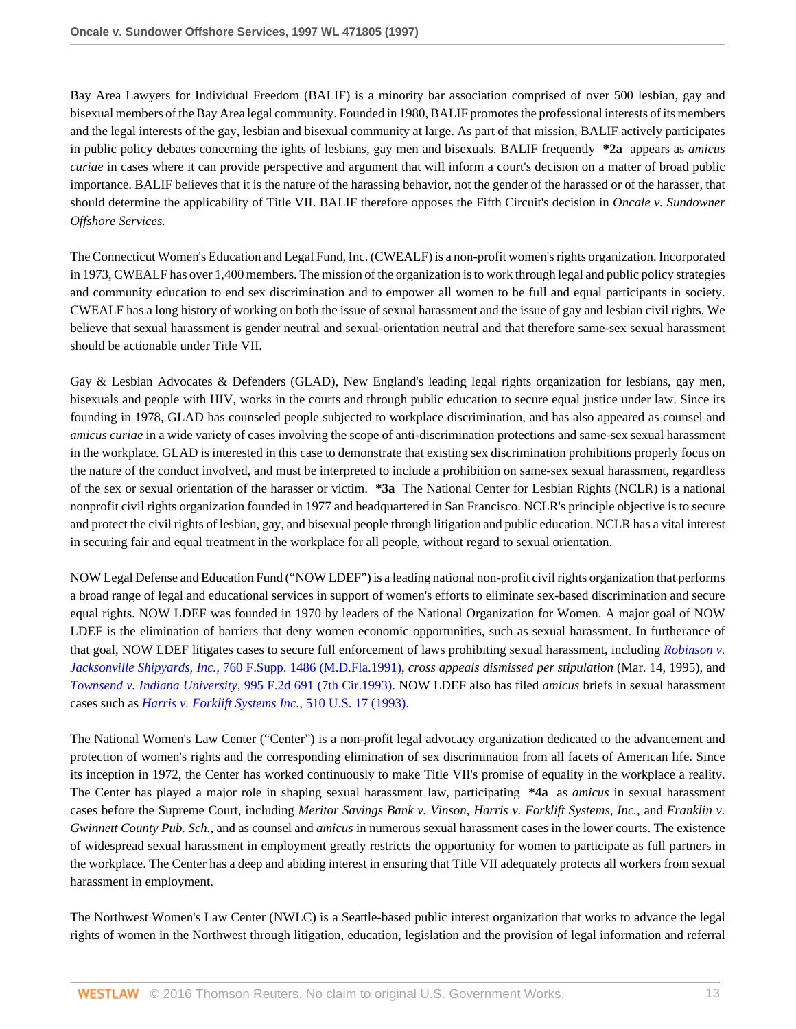Bay Area Lawyers for Individual Freedom (BALIF) is a minority bar association comprised of over 500 lesbian, gay and bisexual members of the Bay Area legal community. Founded in 1980, BALIF promotes the professional interests of its members and the legal interests of the gay, lesbian and bisexual community at large. As part of that mission, BALIF actively participates in public policy debates concerning the ights of lesbians, gay men and bisexuals. BALIF frequently **\*2a** appears as *amicus curiae* in cases where it can provide perspective and argument that will inform a court's decision on a matter of broad public importance. BALIF believes that it is the nature of the harassing behavior, not the gender of the harassed or of the harasser, that should determine the applicability of Title VII. BALIF therefore opposes the Fifth Circuit's decision in *Oncale v. Sundowner Offshore Services.*

The Connecticut Women's Education and Legal Fund, Inc. (CWEALF) is a non-profit women's rights organization. Incorporated in 1973, CWEALF has over 1,400 members. The mission of the organization is to work through legal and public policy strategies and community education to end sex discrimination and to empower all women to be full and equal participants in society. CWEALF has a long history of working on both the issue of sexual harassment and the issue of gay and lesbian civil rights. We believe that sexual harassment is gender neutral and sexual-orientation neutral and that therefore same-sex sexual harassment should be actionable under Title VII.

Gay & Lesbian Advocates & Defenders (GLAD), New England's leading legal rights organization for lesbians, gay men, bisexuals and people with HIV, works in the courts and through public education to secure equal justice under law. Since its founding in 1978, GLAD has counseled people subjected to workplace discrimination, and has also appeared as counsel and *amicus curiae* in a wide variety of cases involving the scope of anti-discrimination protections and same-sex sexual harassment in the workplace. GLAD is interested in this case to demonstrate that existing sex discrimination prohibitions properly focus on the nature of the conduct involved, and must be interpreted to include a prohibition on same-sex sexual harassment, regardless of the sex or sexual orientation of the harasser or victim. **\*3a** The National Center for Lesbian Rights (NCLR) is a national nonprofit civil rights organization founded in 1977 and headquartered in San Francisco. NCLR's principle objective is to secure and protect the civil rights of lesbian, gay, and bisexual people through litigation and public education. NCLR has a vital interest in securing fair and equal treatment in the workplace for all people, without regard to sexual orientation.

NOW Legal Defense and Education Fund ("NOW LDEF") is a leading national non-profit civil rights organization that performs a broad range of legal and educational services in support of women's efforts to eliminate sex-based discrimination and secure equal rights. NOW LDEF was founded in 1970 by leaders of the National Organization for Women. A major goal of NOW LDEF is the elimination of barriers that deny women economic opportunities, such as sexual harassment. In furtherance of that goal, NOW LDEF litigates cases to secure full enforcement of laws prohibiting sexual harassment, including *[Robinson v.](http://www.westlaw.com/Link/Document/FullText?findType=Y&serNum=1991071003&pubNum=345&originatingDoc=I1e63f32447c011d98915dbcd77ee80bc&refType=RP&originationContext=document&vr=3.0&rs=cblt1.0&transitionType=DocumentItem&contextData=(sc.RelatedInfo)) Jacksonville Shipyards, Inc.,* [760 F.Supp. 1486 \(M.D.Fla.1991\),](http://www.westlaw.com/Link/Document/FullText?findType=Y&serNum=1991071003&pubNum=345&originatingDoc=I1e63f32447c011d98915dbcd77ee80bc&refType=RP&originationContext=document&vr=3.0&rs=cblt1.0&transitionType=DocumentItem&contextData=(sc.RelatedInfo)) *cross appeals dismissed per stipulation* (Mar. 14, 1995), and *[Townsend v. Indiana University,](http://www.westlaw.com/Link/Document/FullText?findType=Y&serNum=1993117594&pubNum=350&originatingDoc=I1e63f32447c011d98915dbcd77ee80bc&refType=RP&originationContext=document&vr=3.0&rs=cblt1.0&transitionType=DocumentItem&contextData=(sc.RelatedInfo))* 995 F.2d 691 (7th Cir.1993). NOW LDEF also has filed *amicus* briefs in sexual harassment cases such as *[Harris v. Forklift Systems Inc.,](http://www.westlaw.com/Link/Document/FullText?findType=Y&serNum=1993212367&pubNum=780&originatingDoc=I1e63f32447c011d98915dbcd77ee80bc&refType=RP&originationContext=document&vr=3.0&rs=cblt1.0&transitionType=DocumentItem&contextData=(sc.RelatedInfo))* 510 U.S. 17 (1993).

The National Women's Law Center ("Center") is a non-profit legal advocacy organization dedicated to the advancement and protection of women's rights and the corresponding elimination of sex discrimination from all facets of American life. Since its inception in 1972, the Center has worked continuously to make Title VII's promise of equality in the workplace a reality. The Center has played a major role in shaping sexual harassment law, participating **\*4a** as *amicus* in sexual harassment cases before the Supreme Court, including *Meritor Savings Bank v. Vinson, Harris v. Forklift Systems, Inc.,* and *Franklin v. Gwinnett County Pub. Sch.,* and as counsel and *amicus* in numerous sexual harassment cases in the lower courts. The existence of widespread sexual harassment in employment greatly restricts the opportunity for women to participate as full partners in the workplace. The Center has a deep and abiding interest in ensuring that Title VII adequately protects all workers from sexual harassment in employment.

The Northwest Women's Law Center (NWLC) is a Seattle-based public interest organization that works to advance the legal rights of women in the Northwest through litigation, education, legislation and the provision of legal information and referral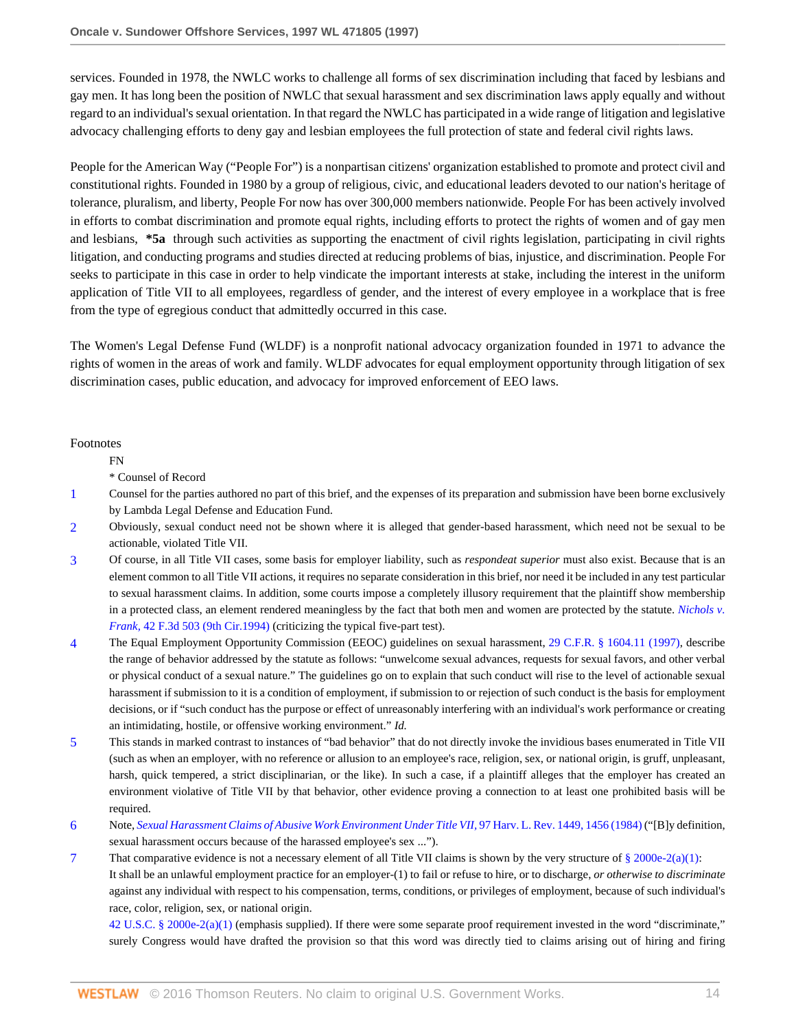services. Founded in 1978, the NWLC works to challenge all forms of sex discrimination including that faced by lesbians and gay men. It has long been the position of NWLC that sexual harassment and sex discrimination laws apply equally and without regard to an individual's sexual orientation. In that regard the NWLC has participated in a wide range of litigation and legislative advocacy challenging efforts to deny gay and lesbian employees the full protection of state and federal civil rights laws.

People for the American Way ("People For") is a nonpartisan citizens' organization established to promote and protect civil and constitutional rights. Founded in 1980 by a group of religious, civic, and educational leaders devoted to our nation's heritage of tolerance, pluralism, and liberty, People For now has over 300,000 members nationwide. People For has been actively involved in efforts to combat discrimination and promote equal rights, including efforts to protect the rights of women and of gay men and lesbians, **\*5a** through such activities as supporting the enactment of civil rights legislation, participating in civil rights litigation, and conducting programs and studies directed at reducing problems of bias, injustice, and discrimination. People For seeks to participate in this case in order to help vindicate the important interests at stake, including the interest in the uniform application of Title VII to all employees, regardless of gender, and the interest of every employee in a workplace that is free from the type of egregious conduct that admittedly occurred in this case.

The Women's Legal Defense Fund (WLDF) is a nonprofit national advocacy organization founded in 1971 to advance the rights of women in the areas of work and family. WLDF advocates for equal employment opportunity through litigation of sex discrimination cases, public education, and advocacy for improved enforcement of EEO laws.

Footnotes

FN

\* Counsel of Record

- <span id="page-13-0"></span>[1](#page-3-0) Counsel for the parties authored no part of this brief, and the expenses of its preparation and submission have been borne exclusively by Lambda Legal Defense and Education Fund.
- <span id="page-13-1"></span>[2](#page-4-0) Obviously, sexual conduct need not be shown where it is alleged that gender-based harassment, which need not be sexual to be actionable, violated Title VII.
- <span id="page-13-2"></span>[3](#page-4-1) Of course, in all Title VII cases, some basis for employer liability, such as *respondeat superior* must also exist. Because that is an element common to all Title VII actions, it requires no separate consideration in this brief, nor need it be included in any test particular to sexual harassment claims. In addition, some courts impose a completely illusory requirement that the plaintiff show membership in a protected class, an element rendered meaningless by the fact that both men and women are protected by the statute. *[Nichols v.](http://www.westlaw.com/Link/Document/FullText?findType=Y&serNum=1994235204&pubNum=506&originatingDoc=I1e63f32447c011d98915dbcd77ee80bc&refType=RP&originationContext=document&vr=3.0&rs=cblt1.0&transitionType=DocumentItem&contextData=(sc.RelatedInfo)) Frank,* [42 F.3d 503 \(9th Cir.1994\)](http://www.westlaw.com/Link/Document/FullText?findType=Y&serNum=1994235204&pubNum=506&originatingDoc=I1e63f32447c011d98915dbcd77ee80bc&refType=RP&originationContext=document&vr=3.0&rs=cblt1.0&transitionType=DocumentItem&contextData=(sc.RelatedInfo)) (criticizing the typical five-part test).
- <span id="page-13-3"></span>[4](#page-5-0) The Equal Employment Opportunity Commission (EEOC) guidelines on sexual harassment, [29 C.F.R. § 1604.11 \(1997\)](http://www.westlaw.com/Link/Document/FullText?findType=L&pubNum=1000547&cite=29CFRS1604.11&originatingDoc=I1e63f32447c011d98915dbcd77ee80bc&refType=LQ&originationContext=document&vr=3.0&rs=cblt1.0&transitionType=DocumentItem&contextData=(sc.RelatedInfo)), describe the range of behavior addressed by the statute as follows: "unwelcome sexual advances, requests for sexual favors, and other verbal or physical conduct of a sexual nature." The guidelines go on to explain that such conduct will rise to the level of actionable sexual harassment if submission to it is a condition of employment, if submission to or rejection of such conduct is the basis for employment decisions, or if "such conduct has the purpose or effect of unreasonably interfering with an individual's work performance or creating an intimidating, hostile, or offensive working environment." *Id.*
- <span id="page-13-4"></span>[5](#page-5-1) This stands in marked contrast to instances of "bad behavior" that do not directly invoke the invidious bases enumerated in Title VII (such as when an employer, with no reference or allusion to an employee's race, religion, sex, or national origin, is gruff, unpleasant, harsh, quick tempered, a strict disciplinarian, or the like). In such a case, if a plaintiff alleges that the employer has created an environment violative of Title VII by that behavior, other evidence proving a connection to at least one prohibited basis will be required.
- <span id="page-13-5"></span>[6](#page-5-2) Note, *[Sexual Harassment Claims of Abusive Work Environment Under Title VII,](http://www.westlaw.com/Link/Document/FullText?findType=Y&serNum=0102032493&pubNum=3084&originatingDoc=I1e63f32447c011d98915dbcd77ee80bc&refType=LR&fi=co_pp_sp_3084_1456&originationContext=document&vr=3.0&rs=cblt1.0&transitionType=DocumentItem&contextData=(sc.RelatedInfo)#co_pp_sp_3084_1456)* 97 Harv. L. Rev. 1449, 1456 (1984) ("[B]y definition, sexual harassment occurs because of the harassed employee's sex ...").
- <span id="page-13-6"></span>[7](#page-6-0) That comparative evidence is not a necessary element of all Title VII claims is shown by the very structure of [§ 2000e-2\(a\)\(1\):](http://www.westlaw.com/Link/Document/FullText?findType=L&pubNum=1000546&cite=42USCAS2000E-2&originatingDoc=I1e63f32447c011d98915dbcd77ee80bc&refType=RB&originationContext=document&vr=3.0&rs=cblt1.0&transitionType=DocumentItem&contextData=(sc.RelatedInfo)#co_pp_7b9b000044381) It shall be an unlawful employment practice for an employer-(1) to fail or refuse to hire, or to discharge, *or otherwise to discriminate* against any individual with respect to his compensation, terms, conditions, or privileges of employment, because of such individual's race, color, religion, sex, or national origin.

[42 U.S.C. § 2000e-2\(a\)\(1\)](http://www.westlaw.com/Link/Document/FullText?findType=L&pubNum=1000546&cite=42USCAS2000E-2&originatingDoc=I1e63f32447c011d98915dbcd77ee80bc&refType=RB&originationContext=document&vr=3.0&rs=cblt1.0&transitionType=DocumentItem&contextData=(sc.RelatedInfo)#co_pp_7b9b000044381) (emphasis supplied). If there were some separate proof requirement invested in the word "discriminate," surely Congress would have drafted the provision so that this word was directly tied to claims arising out of hiring and firing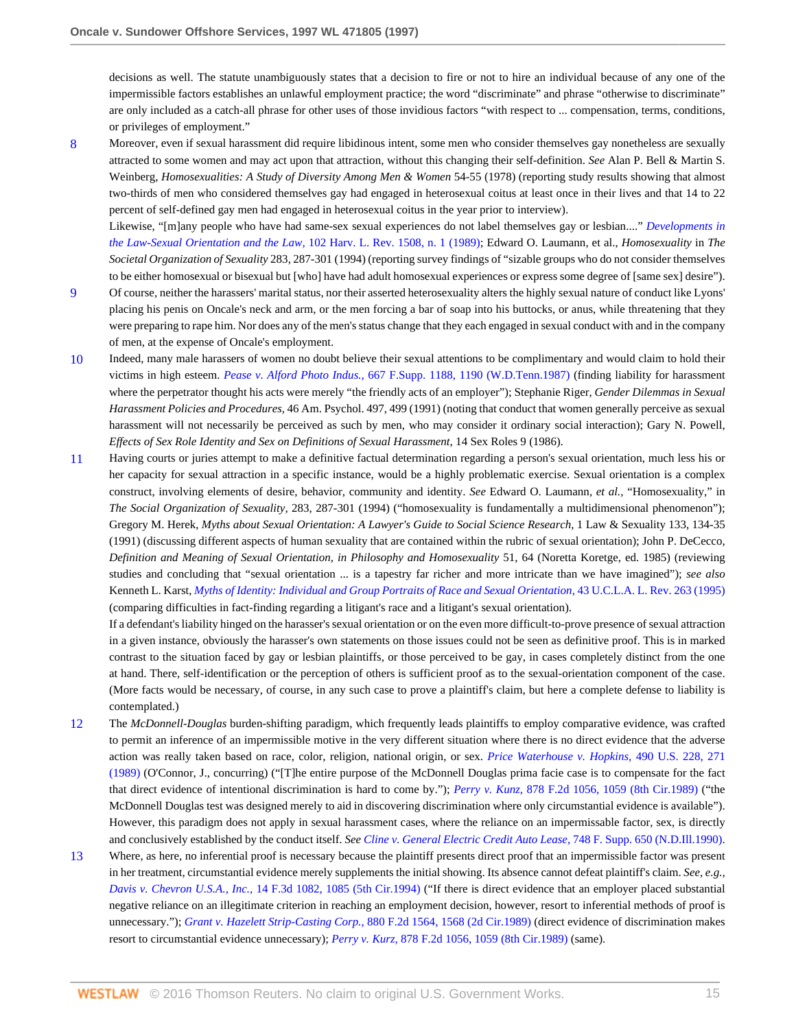decisions as well. The statute unambiguously states that a decision to fire or not to hire an individual because of any one of the impermissible factors establishes an unlawful employment practice; the word "discriminate" and phrase "otherwise to discriminate" are only included as a catch-all phrase for other uses of those invidious factors "with respect to ... compensation, terms, conditions, or privileges of employment."

<span id="page-14-0"></span>[8](#page-7-0) Moreover, even if sexual harassment did require libidinous intent, some men who consider themselves gay nonetheless are sexually attracted to some women and may act upon that attraction, without this changing their self-definition. *See* Alan P. Bell & Martin S. Weinberg, *Homosexualities: A Study of Diversity Among Men & Women* 54-55 (1978) (reporting study results showing that almost two-thirds of men who considered themselves gay had engaged in heterosexual coitus at least once in their lives and that 14 to 22 percent of self-defined gay men had engaged in heterosexual coitus in the year prior to interview).

Likewise, "[m]any people who have had same-sex sexual experiences do not label themselves gay or lesbian...." *[Developments in](http://www.westlaw.com/Link/Document/FullText?findType=Y&serNum=0102734331&pubNum=3084&originatingDoc=I1e63f32447c011d98915dbcd77ee80bc&refType=LR&originationContext=document&vr=3.0&rs=cblt1.0&transitionType=DocumentItem&contextData=(sc.RelatedInfo)) [the Law-Sexual Orientation and the Law,](http://www.westlaw.com/Link/Document/FullText?findType=Y&serNum=0102734331&pubNum=3084&originatingDoc=I1e63f32447c011d98915dbcd77ee80bc&refType=LR&originationContext=document&vr=3.0&rs=cblt1.0&transitionType=DocumentItem&contextData=(sc.RelatedInfo))* 102 Harv. L. Rev. 1508, n. 1 (1989); Edward O. Laumann, et al., *Homosexuality* in *The Societal Organization of Sexuality* 283, 287-301 (1994) (reporting survey findings of "sizable groups who do not consider themselves to be either homosexual or bisexual but [who] have had adult homosexual experiences or express some degree of [same sex] desire").

- <span id="page-14-1"></span>[9](#page-7-1) Of course, neither the harassers' marital status, nor their asserted heterosexuality alters the highly sexual nature of conduct like Lyons' placing his penis on Oncale's neck and arm, or the men forcing a bar of soap into his buttocks, or anus, while threatening that they were preparing to rape him. Nor does any of the men's status change that they each engaged in sexual conduct with and in the company of men, at the expense of Oncale's employment.
- <span id="page-14-2"></span>[10](#page-8-0) Indeed, many male harassers of women no doubt believe their sexual attentions to be complimentary and would claim to hold their victims in high esteem. *Pease v. Alford Photo Indus.,* [667 F.Supp. 1188, 1190 \(W.D.Tenn.1987\)](http://www.westlaw.com/Link/Document/FullText?findType=Y&serNum=1987110235&pubNum=345&originatingDoc=I1e63f32447c011d98915dbcd77ee80bc&refType=RP&fi=co_pp_sp_345_1190&originationContext=document&vr=3.0&rs=cblt1.0&transitionType=DocumentItem&contextData=(sc.RelatedInfo)#co_pp_sp_345_1190) (finding liability for harassment where the perpetrator thought his acts were merely "the friendly acts of an employer"); Stephanie Riger, *Gender Dilemmas in Sexual Harassment Policies and Procedures,* 46 Am. Psychol. 497, 499 (1991) (noting that conduct that women generally perceive as sexual harassment will not necessarily be perceived as such by men, who may consider it ordinary social interaction); Gary N. Powell, *Effects of Sex Role Identity and Sex on Definitions of Sexual Harassment,* 14 Sex Roles 9 (1986).
- <span id="page-14-3"></span>[11](#page-8-1) Having courts or juries attempt to make a definitive factual determination regarding a person's sexual orientation, much less his or her capacity for sexual attraction in a specific instance, would be a highly problematic exercise. Sexual orientation is a complex construct, involving elements of desire, behavior, community and identity. *See* Edward O. Laumann, *et al.,* "Homosexuality," in *The Social Organization of Sexuality,* 283, 287-301 (1994) ("homosexuality is fundamentally a multidimensional phenomenon"); Gregory M. Herek, *Myths about Sexual Orientation: A Lawyer's Guide to Social Science Research,* 1 Law & Sexuality 133, 134-35 (1991) (discussing different aspects of human sexuality that are contained within the rubric of sexual orientation); John P. DeCecco, *Definition and Meaning of Sexual Orientation, in Philosophy and Homosexuality* 51, 64 (Noretta Koretge, ed. 1985) (reviewing studies and concluding that "sexual orientation ... is a tapestry far richer and more intricate than we have imagined"); *see also* Kenneth L. Karst, *[Myths of Identity: Individual and Group Portraits of Race and Sexual Orientation,](http://www.westlaw.com/Link/Document/FullText?findType=Y&serNum=0106027068&pubNum=3041&originatingDoc=I1e63f32447c011d98915dbcd77ee80bc&refType=LR&originationContext=document&vr=3.0&rs=cblt1.0&transitionType=DocumentItem&contextData=(sc.RelatedInfo))* 43 U.C.L.A. L. Rev. 263 (1995) (comparing difficulties in fact-finding regarding a litigant's race and a litigant's sexual orientation).

If a defendant's liability hinged on the harasser's sexual orientation or on the even more difficult-to-prove presence of sexual attraction in a given instance, obviously the harasser's own statements on those issues could not be seen as definitive proof. This is in marked contrast to the situation faced by gay or lesbian plaintiffs, or those perceived to be gay, in cases completely distinct from the one at hand. There, self-identification or the perception of others is sufficient proof as to the sexual-orientation component of the case. (More facts would be necessary, of course, in any such case to prove a plaintiff's claim, but here a complete defense to liability is contemplated.)

- <span id="page-14-4"></span>[12](#page-9-0) The *McDonnell-Douglas* burden-shifting paradigm, which frequently leads plaintiffs to employ comparative evidence, was crafted to permit an inference of an impermissible motive in the very different situation where there is no direct evidence that the adverse action was really taken based on race, color, religion, national origin, or sex. *[Price Waterhouse v. Hopkins,](http://www.westlaw.com/Link/Document/FullText?findType=Y&serNum=1989063356&pubNum=780&originatingDoc=I1e63f32447c011d98915dbcd77ee80bc&refType=RP&fi=co_pp_sp_780_271&originationContext=document&vr=3.0&rs=cblt1.0&transitionType=DocumentItem&contextData=(sc.RelatedInfo)#co_pp_sp_780_271)* 490 U.S. 228, 271 [\(1989\)](http://www.westlaw.com/Link/Document/FullText?findType=Y&serNum=1989063356&pubNum=780&originatingDoc=I1e63f32447c011d98915dbcd77ee80bc&refType=RP&fi=co_pp_sp_780_271&originationContext=document&vr=3.0&rs=cblt1.0&transitionType=DocumentItem&contextData=(sc.RelatedInfo)#co_pp_sp_780_271) (O'Connor, J., concurring) ("[T]he entire purpose of the McDonnell Douglas prima facie case is to compensate for the fact that direct evidence of intentional discrimination is hard to come by."); *Perry v. Kunz,* [878 F.2d 1056, 1059 \(8th Cir.1989\)](http://www.westlaw.com/Link/Document/FullText?findType=Y&serNum=1989091629&pubNum=350&originatingDoc=I1e63f32447c011d98915dbcd77ee80bc&refType=RP&fi=co_pp_sp_350_1059&originationContext=document&vr=3.0&rs=cblt1.0&transitionType=DocumentItem&contextData=(sc.RelatedInfo)#co_pp_sp_350_1059) ("the McDonnell Douglas test was designed merely to aid in discovering discrimination where only circumstantial evidence is available"). However, this paradigm does not apply in sexual harassment cases, where the reliance on an impermissable factor, sex, is directly and conclusively established by the conduct itself. *See [Cline v. General Electric Credit Auto Lease,](http://www.westlaw.com/Link/Document/FullText?findType=Y&serNum=1990144603&pubNum=345&originatingDoc=I1e63f32447c011d98915dbcd77ee80bc&refType=RP&originationContext=document&vr=3.0&rs=cblt1.0&transitionType=DocumentItem&contextData=(sc.RelatedInfo))* 748 F. Supp. 650 (N.D.Ill.1990).
- <span id="page-14-5"></span>[13](#page-9-1) Where, as here, no inferential proof is necessary because the plaintiff presents direct proof that an impermissible factor was present in her treatment, circumstantial evidence merely supplements the initial showing. Its absence cannot defeat plaintiff's claim. *See, e.g., Davis v. Chevron U.S.A., Inc.,* [14 F.3d 1082, 1085 \(5th Cir.1994\)](http://www.westlaw.com/Link/Document/FullText?findType=Y&serNum=1994044216&pubNum=506&originatingDoc=I1e63f32447c011d98915dbcd77ee80bc&refType=RP&fi=co_pp_sp_506_1085&originationContext=document&vr=3.0&rs=cblt1.0&transitionType=DocumentItem&contextData=(sc.RelatedInfo)#co_pp_sp_506_1085) ("If there is direct evidence that an employer placed substantial negative reliance on an illegitimate criterion in reaching an employment decision, however, resort to inferential methods of proof is unnecessary."); *[Grant v. Hazelett Strip-Casting Corp.,](http://www.westlaw.com/Link/Document/FullText?findType=Y&serNum=1989114047&pubNum=350&originatingDoc=I1e63f32447c011d98915dbcd77ee80bc&refType=RP&fi=co_pp_sp_350_1568&originationContext=document&vr=3.0&rs=cblt1.0&transitionType=DocumentItem&contextData=(sc.RelatedInfo)#co_pp_sp_350_1568)* 880 F.2d 1564, 1568 (2d Cir.1989) (direct evidence of discrimination makes resort to circumstantial evidence unnecessary); *Perry v. Kurz,* [878 F.2d 1056, 1059 \(8th Cir.1989\)](http://www.westlaw.com/Link/Document/FullText?findType=Y&serNum=1989091629&pubNum=350&originatingDoc=I1e63f32447c011d98915dbcd77ee80bc&refType=RP&fi=co_pp_sp_350_1059&originationContext=document&vr=3.0&rs=cblt1.0&transitionType=DocumentItem&contextData=(sc.RelatedInfo)#co_pp_sp_350_1059) (same).